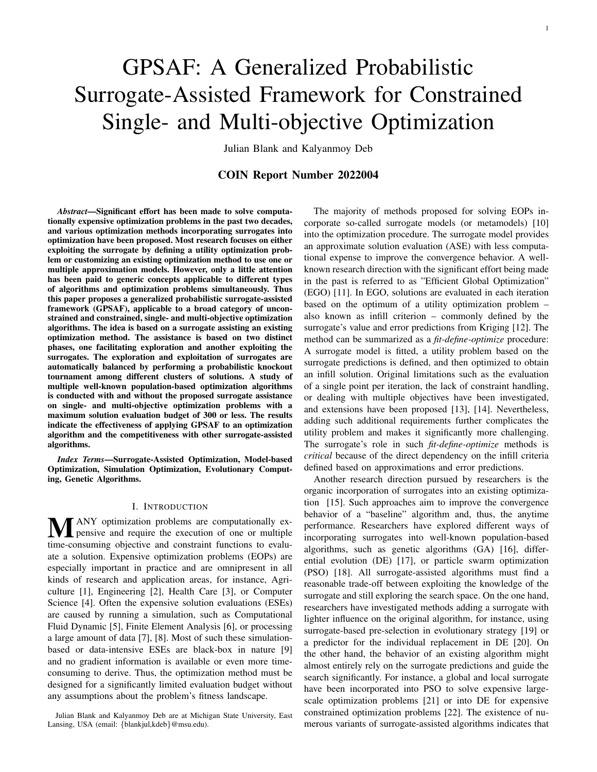# GPSAF: A Generalized Probabilistic Surrogate-Assisted Framework for Constrained Single- and Multi-objective Optimization

Julian Blank and Kalyanmoy Deb

# COIN Report Number 2022004

*Abstract*—Significant effort has been made to solve computationally expensive optimization problems in the past two decades, and various optimization methods incorporating surrogates into optimization have been proposed. Most research focuses on either exploiting the surrogate by defining a utility optimization problem or customizing an existing optimization method to use one or multiple approximation models. However, only a little attention has been paid to generic concepts applicable to different types of algorithms and optimization problems simultaneously. Thus this paper proposes a generalized probabilistic surrogate-assisted framework (GPSAF), applicable to a broad category of unconstrained and constrained, single- and multi-objective optimization algorithms. The idea is based on a surrogate assisting an existing optimization method. The assistance is based on two distinct phases, one facilitating exploration and another exploiting the surrogates. The exploration and exploitation of surrogates are automatically balanced by performing a probabilistic knockout tournament among different clusters of solutions. A study of multiple well-known population-based optimization algorithms is conducted with and without the proposed surrogate assistance on single- and multi-objective optimization problems with a maximum solution evaluation budget of 300 or less. The results indicate the effectiveness of applying GPSAF to an optimization algorithm and the competitiveness with other surrogate-assisted algorithms.

*Index Terms*—Surrogate-Assisted Optimization, Model-based Optimization, Simulation Optimization, Evolutionary Computing, Genetic Algorithms.

#### I. INTRODUCTION

**MANY** optimization problems are computationally expensive and require the execution of one or multiple time-consuming objective and constraint functions to evaluate a solution. Expensive optimization problems (EOPs) are especially important in practice and are omnipresent in all kinds of research and application areas, for instance, Agriculture [1], Engineering [2], Health Care [3], or Computer Science [4]. Often the expensive solution evaluations (ESEs) are caused by running a simulation, such as Computational Fluid Dynamic [5], Finite Element Analysis [6], or processing a large amount of data [7], [8]. Most of such these simulationbased or data-intensive ESEs are black-box in nature [9] and no gradient information is available or even more timeconsuming to derive. Thus, the optimization method must be designed for a significantly limited evaluation budget without any assumptions about the problem's fitness landscape.

The majority of methods proposed for solving EOPs incorporate so-called surrogate models (or metamodels) [10] into the optimization procedure. The surrogate model provides an approximate solution evaluation (ASE) with less computational expense to improve the convergence behavior. A wellknown research direction with the significant effort being made in the past is referred to as "Efficient Global Optimization" (EGO) [11]. In EGO, solutions are evaluated in each iteration based on the optimum of a utility optimization problem – also known as infill criterion – commonly defined by the surrogate's value and error predictions from Kriging [12]. The method can be summarized as a *fit-define-optimize* procedure: A surrogate model is fitted, a utility problem based on the surrogate predictions is defined, and then optimized to obtain an infill solution. Original limitations such as the evaluation of a single point per iteration, the lack of constraint handling, or dealing with multiple objectives have been investigated, and extensions have been proposed [13], [14]. Nevertheless, adding such additional requirements further complicates the utility problem and makes it significantly more challenging. The surrogate's role in such *fit-define-optimize* methods is *critical* because of the direct dependency on the infill criteria defined based on approximations and error predictions.

Another research direction pursued by researchers is the organic incorporation of surrogates into an existing optimization [15]. Such approaches aim to improve the convergence behavior of a "baseline" algorithm and, thus, the anytime performance. Researchers have explored different ways of incorporating surrogates into well-known population-based algorithms, such as genetic algorithms (GA) [16], differential evolution (DE) [17], or particle swarm optimization (PSO) [18]. All surrogate-assisted algorithms must find a reasonable trade-off between exploiting the knowledge of the surrogate and still exploring the search space. On the one hand, researchers have investigated methods adding a surrogate with lighter influence on the original algorithm, for instance, using surrogate-based pre-selection in evolutionary strategy [19] or a predictor for the individual replacement in DE [20]. On the other hand, the behavior of an existing algorithm might almost entirely rely on the surrogate predictions and guide the search significantly. For instance, a global and local surrogate have been incorporated into PSO to solve expensive largescale optimization problems [21] or into DE for expensive constrained optimization problems [22]. The existence of numerous variants of surrogate-assisted algorithms indicates that

Julian Blank and Kalyanmoy Deb are at Michigan State University, East Lansing, USA (email: {blankjul,kdeb}@msu.edu).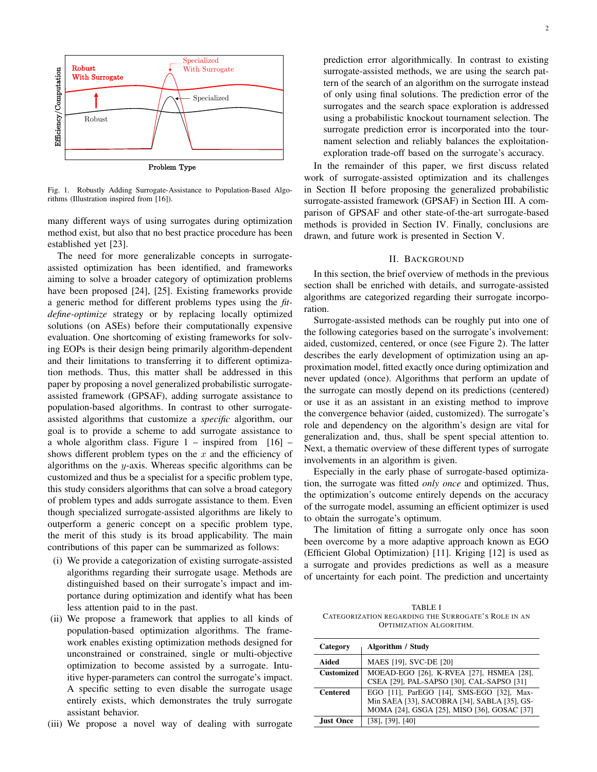

Fig. 1. Robustly Adding Surrogate-Assistance to Population-Based Algorithms (Illustration inspired from [16]).

many different ways of using surrogates during optimization method exist, but also that no best practice procedure has been established yet [23].

The need for more generalizable concepts in surrogateassisted optimization has been identified, and frameworks aiming to solve a broader category of optimization problems have been proposed [24], [25]. Existing frameworks provide a generic method for different problems types using the *fitdefine-optimize* strategy or by replacing locally optimized solutions (on ASEs) before their computationally expensive evaluation. One shortcoming of existing frameworks for solving EOPs is their design being primarily algorithm-dependent and their limitations to transferring it to different optimization methods. Thus, this matter shall be addressed in this paper by proposing a novel generalized probabilistic surrogateassisted framework (GPSAF), adding surrogate assistance to population-based algorithms. In contrast to other surrogateassisted algorithms that customize a *specific* algorithm, our goal is to provide a scheme to add surrogate assistance to a whole algorithm class. Figure  $1 -$  inspired from [16] – shows different problem types on the  $x$  and the efficiency of algorithms on the  $y$ -axis. Whereas specific algorithms can be customized and thus be a specialist for a specific problem type, this study considers algorithms that can solve a broad category of problem types and adds surrogate assistance to them. Even though specialized surrogate-assisted algorithms are likely to outperform a generic concept on a specific problem type, the merit of this study is its broad applicability. The main contributions of this paper can be summarized as follows:

- (i) We provide a categorization of existing surrogate-assisted algorithms regarding their surrogate usage. Methods are distinguished based on their surrogate's impact and importance during optimization and identify what has been less attention paid to in the past.
- (ii) We propose a framework that applies to all kinds of population-based optimization algorithms. The framework enables existing optimization methods designed for unconstrained or constrained, single or multi-objective optimization to become assisted by a surrogate. Intuitive hyper-parameters can control the surrogate's impact. A specific setting to even disable the surrogate usage entirely exists, which demonstrates the truly surrogate assistant behavior.
- (iii) We propose a novel way of dealing with surrogate

prediction error algorithmically. In contrast to existing surrogate-assisted methods, we are using the search pattern of the search of an algorithm on the surrogate instead of only using final solutions. The prediction error of the surrogates and the search space exploration is addressed using a probabilistic knockout tournament selection. The surrogate prediction error is incorporated into the tournament selection and reliably balances the exploitationexploration trade-off based on the surrogate's accuracy.

In the remainder of this paper, we first discuss related work of surrogate-assisted optimization and its challenges in Section II before proposing the generalized probabilistic surrogate-assisted framework (GPSAF) in Section III. A comparison of GPSAF and other state-of-the-art surrogate-based methods is provided in Section IV. Finally, conclusions are drawn, and future work is presented in Section V.

#### II. BACKGROUND

In this section, the brief overview of methods in the previous section shall be enriched with details, and surrogate-assisted algorithms are categorized regarding their surrogate incorporation.

Surrogate-assisted methods can be roughly put into one of the following categories based on the surrogate's involvement: aided, customized, centered, or once (see Figure 2). The latter describes the early development of optimization using an approximation model, fitted exactly once during optimization and never updated (once). Algorithms that perform an update of the surrogate can mostly depend on its predictions (centered) or use it as an assistant in an existing method to improve the convergence behavior (aided, customized). The surrogate's role and dependency on the algorithm's design are vital for generalization and, thus, shall be spent special attention to. Next, a thematic overview of these different types of surrogate involvements in an algorithm is given.

Especially in the early phase of surrogate-based optimization, the surrogate was fitted *only once* and optimized. Thus, the optimization's outcome entirely depends on the accuracy of the surrogate model, assuming an efficient optimizer is used to obtain the surrogate's optimum.

The limitation of fitting a surrogate only once has soon been overcome by a more adaptive approach known as EGO (Efficient Global Optimization) [11]. Kriging [12] is used as a surrogate and provides predictions as well as a measure of uncertainty for each point. The prediction and uncertainty

TABLE I CATEGORIZATION REGARDING THE SURROGATE'S ROLE IN AN OPTIMIZATION ALGORITHM.

| Category          | Algorithm / Study                                                                                                                        |
|-------------------|------------------------------------------------------------------------------------------------------------------------------------------|
| Aided             | MAES [19], SVC-DE [20]                                                                                                                   |
| <b>Customized</b> | MOEAD-EGO [26], K-RVEA [27], HSMEA [28],<br>CSEA [29], PAL-SAPSO [30], CAL-SAPSO [31]                                                    |
| <b>Centered</b>   | EGO [11], ParEGO [14], SMS-EGO [32], Max-<br>Min SAEA [33], SACOBRA [34], SABLA [35], GS-<br>MOMA [24], GSGA [25], MISO [36], GOSAC [37] |
| <b>Just Once</b>  | $[38]$ , $[39]$ , $[40]$                                                                                                                 |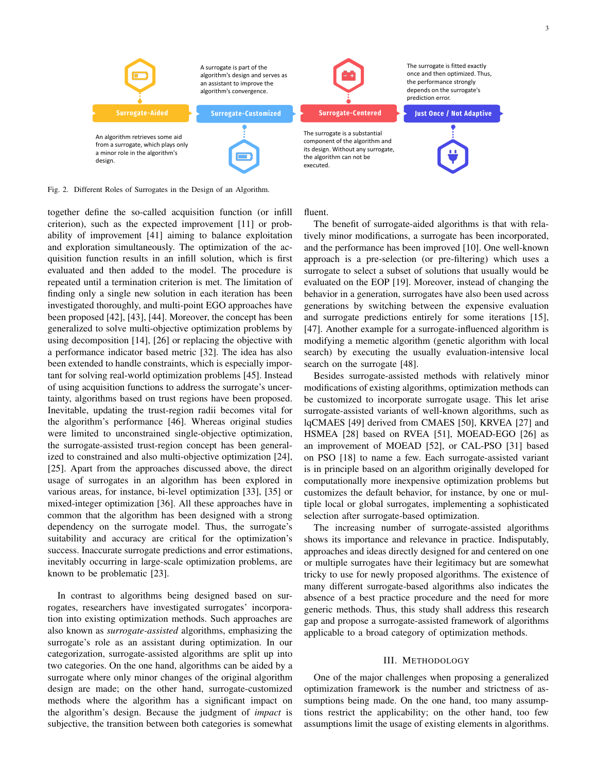

Fig. 2. Different Roles of Surrogates in the Design of an Algorithm.

together define the so-called acquisition function (or infill criterion), such as the expected improvement [11] or probability of improvement [41] aiming to balance exploitation and exploration simultaneously. The optimization of the acquisition function results in an infill solution, which is first evaluated and then added to the model. The procedure is repeated until a termination criterion is met. The limitation of finding only a single new solution in each iteration has been investigated thoroughly, and multi-point EGO approaches have been proposed [42], [43], [44]. Moreover, the concept has been generalized to solve multi-objective optimization problems by using decomposition [14], [26] or replacing the objective with a performance indicator based metric [32]. The idea has also been extended to handle constraints, which is especially important for solving real-world optimization problems [45]. Instead of using acquisition functions to address the surrogate's uncertainty, algorithms based on trust regions have been proposed. Inevitable, updating the trust-region radii becomes vital for the algorithm's performance [46]. Whereas original studies were limited to unconstrained single-objective optimization, the surrogate-assisted trust-region concept has been generalized to constrained and also multi-objective optimization [24], [25]. Apart from the approaches discussed above, the direct usage of surrogates in an algorithm has been explored in various areas, for instance, bi-level optimization [33], [35] or mixed-integer optimization [36]. All these approaches have in common that the algorithm has been designed with a strong dependency on the surrogate model. Thus, the surrogate's suitability and accuracy are critical for the optimization's success. Inaccurate surrogate predictions and error estimations, inevitably occurring in large-scale optimization problems, are known to be problematic [23].

In contrast to algorithms being designed based on surrogates, researchers have investigated surrogates' incorporation into existing optimization methods. Such approaches are also known as *surrogate-assisted* algorithms, emphasizing the surrogate's role as an assistant during optimization. In our categorization, surrogate-assisted algorithms are split up into two categories. On the one hand, algorithms can be aided by a surrogate where only minor changes of the original algorithm design are made; on the other hand, surrogate-customized methods where the algorithm has a significant impact on the algorithm's design. Because the judgment of *impact* is subjective, the transition between both categories is somewhat fluent.

terion is met. The limitation of evaluated on the EOP [19]. Moreover, instead of changing the The benefit of surrogate-aided algorithms is that with relatively minor modifications, a surrogate has been incorporated, and the performance has been improved [10]. One well-known approach is a pre-selection (or pre-filtering) which uses a surrogate to select a subset of solutions that usually would be behavior in a generation, surrogates have also been used across generations by switching between the expensive evaluation and surrogate predictions entirely for some iterations [15], [47]. Another example for a surrogate-influenced algorithm is modifying a memetic algorithm (genetic algorithm with local search) by executing the usually evaluation-intensive local search on the surrogate [48].

> Besides surrogate-assisted methods with relatively minor modifications of existing algorithms, optimization methods can be customized to incorporate surrogate usage. This let arise surrogate-assisted variants of well-known algorithms, such as lqCMAES [49] derived from CMAES [50], KRVEA [27] and HSMEA [28] based on RVEA [51], MOEAD-EGO [26] as an improvement of MOEAD [52], or CAL-PSO [31] based on PSO [18] to name a few. Each surrogate-assisted variant is in principle based on an algorithm originally developed for computationally more inexpensive optimization problems but customizes the default behavior, for instance, by one or multiple local or global surrogates, implementing a sophisticated selection after surrogate-based optimization.

> The increasing number of surrogate-assisted algorithms shows its importance and relevance in practice. Indisputably, approaches and ideas directly designed for and centered on one or multiple surrogates have their legitimacy but are somewhat tricky to use for newly proposed algorithms. The existence of many different surrogate-based algorithms also indicates the absence of a best practice procedure and the need for more generic methods. Thus, this study shall address this research gap and propose a surrogate-assisted framework of algorithms applicable to a broad category of optimization methods.

#### III. METHODOLOGY

One of the major challenges when proposing a generalized optimization framework is the number and strictness of assumptions being made. On the one hand, too many assumptions restrict the applicability; on the other hand, too few assumptions limit the usage of existing elements in algorithms.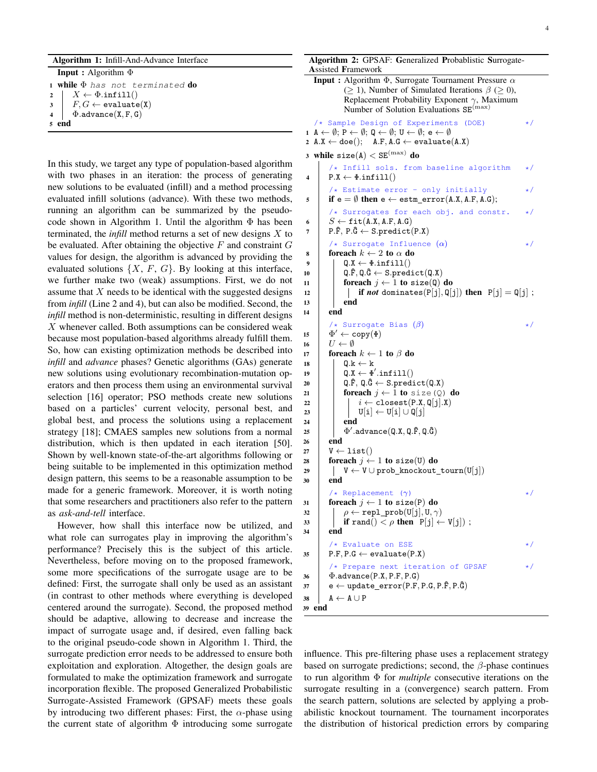|  |  | Algorithm 1: Infill-And-Advance Interface |  |
|--|--|-------------------------------------------|--|
|--|--|-------------------------------------------|--|

Input : Algorithm Φ 1 while  $\Phi$  has not terminated do 2  $\mid X \leftarrow \Phi \text{.infill}()$ 

```
3 \mid F, G \leftarrow \mathtt{evaluate}(X)4 \Phi.advance(X, F, G)
```
<sup>5</sup> end

In this study, we target any type of population-based algorithm with two phases in an iteration: the process of generating new solutions to be evaluated (infill) and a method processing evaluated infill solutions (advance). With these two methods, running an algorithm can be summarized by the pseudocode shown in Algorithm 1. Until the algorithm  $\Phi$  has been terminated, the *infill* method returns a set of new designs X to be evaluated. After obtaining the objective  $F$  and constraint  $G$ values for design, the algorithm is advanced by providing the evaluated solutions  $\{X, F, G\}$ . By looking at this interface, we further make two (weak) assumptions. First, we do not assume that  $X$  needs to be identical with the suggested designs from *infill* (Line 2 and 4), but can also be modified. Second, the *infill* method is non-deterministic, resulting in different designs  $X$  whenever called. Both assumptions can be considered weak because most population-based algorithms already fulfill them. So, how can existing optimization methods be described into *infill* and *advance* phases? Genetic algorithms (GAs) generate new solutions using evolutionary recombination-mutation operators and then process them using an environmental survival selection [16] operator; PSO methods create new solutions based on a particles' current velocity, personal best, and global best, and process the solutions using a replacement strategy [18]; CMAES samples new solutions from a normal distribution, which is then updated in each iteration [50]. Shown by well-known state-of-the-art algorithms following or being suitable to be implemented in this optimization method design pattern, this seems to be a reasonable assumption to be made for a generic framework. Moreover, it is worth noting that some researchers and practitioners also refer to the pattern as *ask-and-tell* interface.

However, how shall this interface now be utilized, and what role can surrogates play in improving the algorithm's performance? Precisely this is the subject of this article. Nevertheless, before moving on to the proposed framework, some more specifications of the surrogate usage are to be defined: First, the surrogate shall only be used as an assistant (in contrast to other methods where everything is developed centered around the surrogate). Second, the proposed method should be adaptive, allowing to decrease and increase the impact of surrogate usage and, if desired, even falling back to the original pseudo-code shown in Algorithm 1. Third, the surrogate prediction error needs to be addressed to ensure both exploitation and exploration. Altogether, the design goals are formulated to make the optimization framework and surrogate incorporation flexible. The proposed Generalized Probabilistic Surrogate-Assisted Framework (GPSAF) meets these goals by introducing two different phases: First, the  $\alpha$ -phase using the current state of algorithm  $\Phi$  introducing some surrogate

```
Algorithm 2: GPSAF: Generalized Probablistic Surrogate-
 Assisted Framework
   Input : Algorithm \Phi, Surrogate Tournament Pressure \alpha(> 1), Number of Simulated Iterations \beta (> 0),
             Replacement Probability Exponent \gamma, Maximum
             Number of Solution Evaluations SE^{(\text{max})}/* Sample Design of Experiments (DOE) */
 1 A \leftarrow \emptyset; P \leftarrow \emptyset; Q \leftarrow \emptyset; U \leftarrow \emptyset; e \leftarrow \emptyset2 A.X \leftarrow doe(); A.F, A.G \leftarrow evaluate(A.X)3 while size(A) < SE^{(max)} do
        /* Infill sols. from baseline algorithm */4 | P.X \leftarrow \Phi.infill()
        /* Estimate error - only initially
5 if e = \emptyset then e \leftarrow \text{estm\_error}(A.X, A.F, A.G);/* Surrogates for each obj. and constr. */6 S \leftarrow \texttt{fit}(A.X, A.F, A.G)7 | P.\hat{F}, P.\hat{G} \leftarrow S.predict(P.X)
        \forall Surrogate Influence (\alpha) */
 8 foreach k \leftarrow 2 to \alpha do
 9 \vert Q.X \leftarrow \Phi.infill()
10 \vert Q.F, Q.G \leftarrow S.predict(Q.X)
11 foreach j \leftarrow 1 to size(Q) do
12 | | if not dominates(P[j], Q[j]) then P[j] = Q[j];
13 end
14 end
        /* Surrogate Bias (\beta) */
15 \Phi' \leftarrow \text{copy}(\Phi)16 U \leftarrow \emptyset17 foreach k \leftarrow 1 to \beta do
18 \vert Q.k \leftarrow k
19 \vert Q.X \leftarrow \Phi'.infill()
20 | Q.F, Q.\hat{G} \leftarrow S.predict(Q.X)
21 foreach i \leftarrow 1 to size(Q) do
\begin{array}{c|c} 22 \ 23 \ 23 \end{array} \begin{array}{|c} i \leftarrow \text{closest}(P.X, \mathbb{Q}[j].X) \ \mathbb{U}[i] \leftarrow \mathbb{U}[i] \cup \mathbb{Q}[i] \end{array}U[i] \leftarrow U[i] \cup Q[j]24 end
\begin{bmatrix} 25 \end{bmatrix} \quad \quad \Phi'.\text{advance}(\texttt{Q.X}, \texttt{Q.F}, \texttt{Q.G})26 end
27 | V \leftarrow \text{list}()28 foreach j \leftarrow 1 to size(U) do
29 | V \leftarrow V \cup prob\_knockout\_tourn(U[j])30 end
         \forall Replacement (\gamma) \qquad \qquad \star /
31 foreach j \leftarrow 1 to size(P) do
32 \rho \leftarrow \texttt{repl\_prob}(U[j], U, \gamma)33 i if rand() \lt \rho then P[j] \leftarrow V[j]);
34 end
           Evaluate on ESE \star/35 P.F, P.G \leftarrow evaluate(P.X)
         /* Prepare next iteration of GPSAF */36 \Phi.advance(P.X, P.F, P.G)
37 e \leftarrow update_error(P.F, P.G, P.F, P.G)
38 A \leftarrow A \cup P39 end
```
influence. This pre-filtering phase uses a replacement strategy based on surrogate predictions; second, the  $\beta$ -phase continues to run algorithm Φ for *multiple* consecutive iterations on the surrogate resulting in a (convergence) search pattern. From the search pattern, solutions are selected by applying a probabilistic knockout tournament. The tournament incorporates the distribution of historical prediction errors by comparing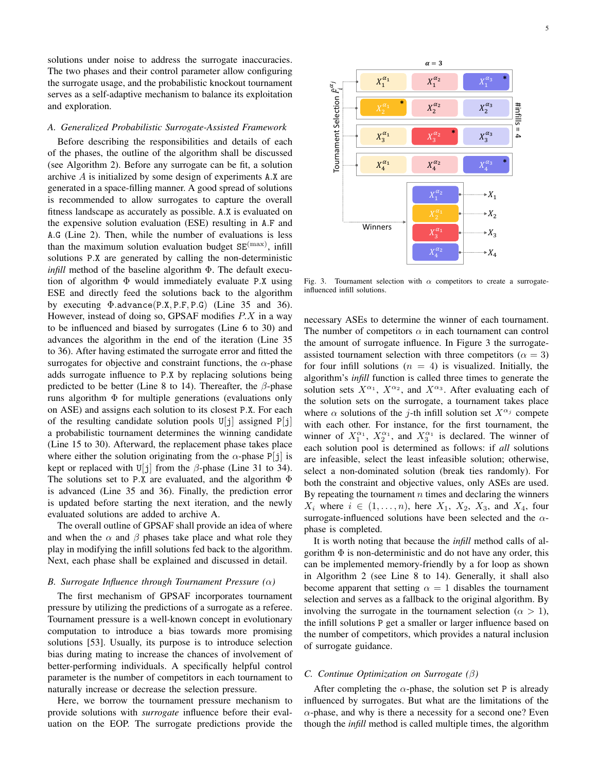solutions under noise to address the surrogate inaccuracies. The two phases and their control parameter allow configuring the surrogate usage, and the probabilistic knockout tournament serves as a self-adaptive mechanism to balance its exploitation and exploration.

#### *A. Generalized Probabilistic Surrogate-Assisted Framework*

Before describing the responsibilities and details of each of the phases, the outline of the algorithm shall be discussed (see Algorithm 2). Before any surrogate can be fit, a solution archive A is initialized by some design of experiments A.X are generated in a space-filling manner. A good spread of solutions is recommended to allow surrogates to capture the overall fitness landscape as accurately as possible. A.X is evaluated on the expensive solution evaluation (ESE) resulting in A.F and A.G (Line 2). Then, while the number of evaluations is less than the maximum solution evaluation budget  $SE<sup>(max)</sup>$ , infill solutions P.X are generated by calling the non-deterministic *infill* method of the baseline algorithm Φ. The default execution of algorithm  $\Phi$  would immediately evaluate P.X using ESE and directly feed the solutions back to the algorithm by executing Φ.advance(P.X, P.F, P.G) (Line 35 and 36). However, instead of doing so, GPSAF modifies  $P.X$  in a way to be influenced and biased by surrogates (Line 6 to 30) and advances the algorithm in the end of the iteration (Line 35 to 36). After having estimated the surrogate error and fitted the surrogates for objective and constraint functions, the  $\alpha$ -phase adds surrogate influence to P.X by replacing solutions being predicted to be better (Line 8 to 14). Thereafter, the  $\beta$ -phase runs algorithm  $\Phi$  for multiple generations (evaluations only on ASE) and assigns each solution to its closest P.X. For each of the resulting candidate solution pools  $U[i]$  assigned  $P[i]$ a probabilistic tournament determines the winning candidate (Line 15 to 30). Afterward, the replacement phase takes place where either the solution originating from the  $\alpha$ -phase P[j] is kept or replaced with U[j] from the  $\beta$ -phase (Line 31 to 34). The solutions set to P.X are evaluated, and the algorithm  $\Phi$ is advanced (Line 35 and 36). Finally, the prediction error is updated before starting the next iteration, and the newly evaluated solutions are added to archive A.

The overall outline of GPSAF shall provide an idea of where and when the  $\alpha$  and  $\beta$  phases take place and what role they play in modifying the infill solutions fed back to the algorithm. Next, each phase shall be explained and discussed in detail.

### *B. Surrogate Influence through Tournament Pressure (*α*)*

The first mechanism of GPSAF incorporates tournament pressure by utilizing the predictions of a surrogate as a referee. Tournament pressure is a well-known concept in evolutionary computation to introduce a bias towards more promising solutions [53]. Usually, its purpose is to introduce selection bias during mating to increase the chances of involvement of better-performing individuals. A specifically helpful control parameter is the number of competitors in each tournament to naturally increase or decrease the selection pressure.

Here, we borrow the tournament pressure mechanism to provide solutions with *surrogate* influence before their evaluation on the EOP. The surrogate predictions provide the



Fig. 3. Tournament selection with  $\alpha$  competitors to create a surrogateinfluenced infill solutions.

necessary ASEs to determine the winner of each tournament. The number of competitors  $\alpha$  in each tournament can control the amount of surrogate influence. In Figure 3 the surrogateassisted tournament selection with three competitors ( $\alpha = 3$ ) for four infill solutions  $(n = 4)$  is visualized. Initially, the algorithm's *infill* function is called three times to generate the solution sets  $X^{\alpha_1}$ ,  $X^{\alpha_2}$ , and  $X^{\alpha_3}$ . After evaluating each of the solution sets on the surrogate, a tournament takes place where  $\alpha$  solutions of the j-th infill solution set  $X^{\alpha_j}$  compete with each other. For instance, for the first tournament, the winner of  $X_1^{\alpha_1}$ ,  $X_2^{\alpha_1}$ , and  $X_3^{\alpha_1}$  is declared. The winner of each solution pool is determined as follows: if *all* solutions are infeasible, select the least infeasible solution; otherwise, select a non-dominated solution (break ties randomly). For both the constraint and objective values, only ASEs are used. By repeating the tournament  $n$  times and declaring the winners  $X_i$  where  $i \in (1, \ldots, n)$ , here  $X_1, X_2, X_3$ , and  $X_4$ , four surrogate-influenced solutions have been selected and the  $\alpha$ phase is completed.

It is worth noting that because the *infill* method calls of algorithm  $\Phi$  is non-deterministic and do not have any order, this can be implemented memory-friendly by a for loop as shown in Algorithm 2 (see Line 8 to 14). Generally, it shall also become apparent that setting  $\alpha = 1$  disables the tournament selection and serves as a fallback to the original algorithm. By involving the surrogate in the tournament selection ( $\alpha > 1$ ), the infill solutions P get a smaller or larger influence based on the number of competitors, which provides a natural inclusion of surrogate guidance.

# *C. Continue Optimization on Surrogate (*β*)*

After completing the  $\alpha$ -phase, the solution set P is already influenced by surrogates. But what are the limitations of the  $\alpha$ -phase, and why is there a necessity for a second one? Even though the *infill* method is called multiple times, the algorithm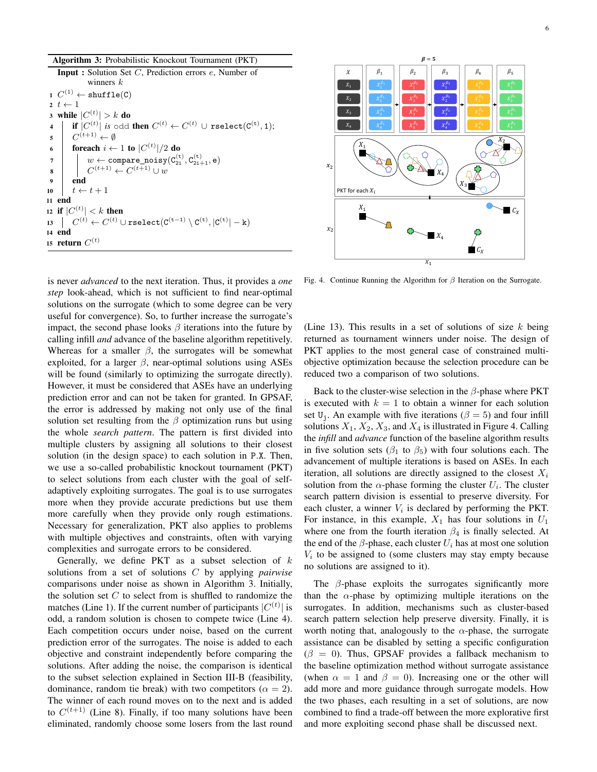| <b>Algorithm 3:</b> Probabilistic Knockout Tournament (PKT)                                                                                                                                                                                                                                                       |  |
|-------------------------------------------------------------------------------------------------------------------------------------------------------------------------------------------------------------------------------------------------------------------------------------------------------------------|--|
| <b>Input</b> : Solution Set $C$ , Prediction errors $e$ , Number of<br>winners $k$                                                                                                                                                                                                                                |  |
|                                                                                                                                                                                                                                                                                                                   |  |
| 1 $C^{(1)} \leftarrow \text{shuffle}(C)$                                                                                                                                                                                                                                                                          |  |
| $2\ t \leftarrow 1$                                                                                                                                                                                                                                                                                               |  |
| 3 while $ C^{(t)}  > k$ do                                                                                                                                                                                                                                                                                        |  |
|                                                                                                                                                                                                                                                                                                                   |  |
|                                                                                                                                                                                                                                                                                                                   |  |
| $\begin{array}{c c} \mathbf{1} & \mathbf{if} & \left  C^{(t)} \right  \text{ is odd then } C^{(t)} \leftarrow C^{(t)} \cup \texttt{rselect}(C^{(t)}, 1); \\ \mathbf{5} & C^{(t+1)} \leftarrow \emptyset & \\ \mathbf{6} & \texttt{forecast} \; i \leftarrow 1 \texttt{ to }  C^{(t)} /2 \texttt{ do} \end{array}$ |  |
| 7<br>8<br>$C^{(t+1)} \leftarrow C^{(t+1)} \cup w$<br>9<br>10<br>$t \leftarrow t+1$<br>10                                                                                                                                                                                                                          |  |
|                                                                                                                                                                                                                                                                                                                   |  |
|                                                                                                                                                                                                                                                                                                                   |  |
| $t \leftarrow t + 1$<br>10                                                                                                                                                                                                                                                                                        |  |
| 11 end                                                                                                                                                                                                                                                                                                            |  |
| 12 if $ C^{(t)}  < k$ then                                                                                                                                                                                                                                                                                        |  |
| 13 $C^{(t)} \leftarrow C^{(t)} \cup \text{rselect}(C^{(t-1)} \setminus C^{(t)},  C^{(t)}  - k)$                                                                                                                                                                                                                   |  |
| 14 end                                                                                                                                                                                                                                                                                                            |  |
| 15 return $C^{(t)}$                                                                                                                                                                                                                                                                                               |  |

is never *advanced* to the next iteration. Thus, it provides a *one step* look-ahead, which is not sufficient to find near-optimal solutions on the surrogate (which to some degree can be very useful for convergence). So, to further increase the surrogate's impact, the second phase looks  $\beta$  iterations into the future by calling infill *and* advance of the baseline algorithm repetitively. Whereas for a smaller  $\beta$ , the surrogates will be somewhat exploited, for a larger  $\beta$ , near-optimal solutions using ASEs will be found (similarly to optimizing the surrogate directly). However, it must be considered that ASEs have an underlying prediction error and can not be taken for granted. In GPSAF, the error is addressed by making not only use of the final solution set resulting from the  $\beta$  optimization runs but using the whole *search pattern*. The pattern is first divided into multiple clusters by assigning all solutions to their closest solution (in the design space) to each solution in P.X. Then, we use a so-called probabilistic knockout tournament (PKT) to select solutions from each cluster with the goal of selfadaptively exploiting surrogates. The goal is to use surrogates more when they provide accurate predictions but use them more carefully when they provide only rough estimations. Necessary for generalization, PKT also applies to problems with multiple objectives and constraints, often with varying complexities and surrogate errors to be considered.

Generally, we define PKT as a subset selection of  $k$ solutions from a set of solutions C by applying *pairwise* comparisons under noise as shown in Algorithm 3. Initially, the solution set  $C$  to select from is shuffled to randomize the matches (Line 1). If the current number of participants  $|C^{(t)}|$  is odd, a random solution is chosen to compete twice (Line 4). Each competition occurs under noise, based on the current prediction error of the surrogates. The noise is added to each objective and constraint independently before comparing the solutions. After adding the noise, the comparison is identical to the subset selection explained in Section III-B (feasibility, dominance, random tie break) with two competitors ( $\alpha = 2$ ). The winner of each round moves on to the next and is added to  $C^{(t+1)}$  (Line 8). Finally, if too many solutions have been eliminated, randomly choose some losers from the last round



Fig. 4. Continue Running the Algorithm for  $\beta$  Iteration on the Surrogate.

(Line 13). This results in a set of solutions of size  $k$  being returned as tournament winners under noise. The design of PKT applies to the most general case of constrained multiobjective optimization because the selection procedure can be reduced two a comparison of two solutions.

Back to the cluster-wise selection in the  $\beta$ -phase where PKT is executed with  $k = 1$  to obtain a winner for each solution set U<sub>j</sub>. An example with five iterations ( $\beta = 5$ ) and four infill solutions  $X_1, X_2, X_3$ , and  $X_4$  is illustrated in Figure 4. Calling the *infill* and *advance* function of the baseline algorithm results in five solution sets ( $\beta_1$  to  $\beta_5$ ) with four solutions each. The advancement of multiple iterations is based on ASEs. In each iteration, all solutions are directly assigned to the closest  $X_i$ solution from the  $\alpha$ -phase forming the cluster  $U_i$ . The cluster search pattern division is essential to preserve diversity. For each cluster, a winner  $V_i$  is declared by performing the PKT. For instance, in this example,  $X_1$  has four solutions in  $U_1$ where one from the fourth iteration  $\beta_4$  is finally selected. At the end of the  $\beta$ -phase, each cluster  $U_i$  has at most one solution  $V_i$  to be assigned to (some clusters may stay empty because no solutions are assigned to it).

The  $\beta$ -phase exploits the surrogates significantly more than the  $\alpha$ -phase by optimizing multiple iterations on the surrogates. In addition, mechanisms such as cluster-based search pattern selection help preserve diversity. Finally, it is worth noting that, analogously to the  $\alpha$ -phase, the surrogate assistance can be disabled by setting a specific configuration  $(\beta = 0)$ . Thus, GPSAF provides a fallback mechanism to the baseline optimization method without surrogate assistance (when  $\alpha = 1$  and  $\beta = 0$ ). Increasing one or the other will add more and more guidance through surrogate models. How the two phases, each resulting in a set of solutions, are now combined to find a trade-off between the more explorative first and more exploiting second phase shall be discussed next.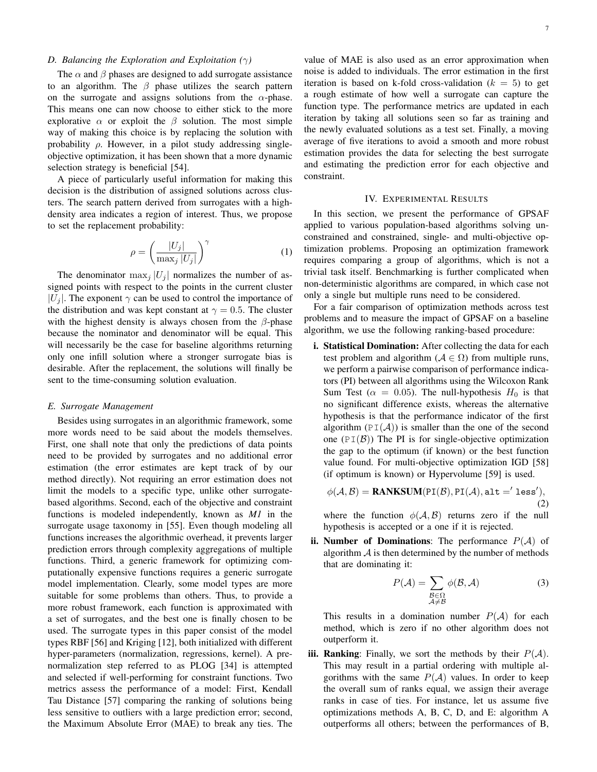# *D. Balancing the Exploration and Exploitation (*γ*)*

The  $\alpha$  and  $\beta$  phases are designed to add surrogate assistance to an algorithm. The  $\beta$  phase utilizes the search pattern on the surrogate and assigns solutions from the  $\alpha$ -phase. This means one can now choose to either stick to the more explorative  $\alpha$  or exploit the  $\beta$  solution. The most simple way of making this choice is by replacing the solution with probability  $\rho$ . However, in a pilot study addressing singleobjective optimization, it has been shown that a more dynamic selection strategy is beneficial [54].

A piece of particularly useful information for making this decision is the distribution of assigned solutions across clusters. The search pattern derived from surrogates with a highdensity area indicates a region of interest. Thus, we propose to set the replacement probability:

$$
\rho = \left(\frac{|U_j|}{\max_j |U_j|}\right)^{\gamma} \tag{1}
$$

The denominator  $\max_i |U_i|$  normalizes the number of assigned points with respect to the points in the current cluster  $|U_i|$ . The exponent  $\gamma$  can be used to control the importance of the distribution and was kept constant at  $\gamma = 0.5$ . The cluster with the highest density is always chosen from the  $\beta$ -phase because the nominator and denominator will be equal. This will necessarily be the case for baseline algorithms returning only one infill solution where a stronger surrogate bias is desirable. After the replacement, the solutions will finally be sent to the time-consuming solution evaluation.

#### *E. Surrogate Management*

Besides using surrogates in an algorithmic framework, some more words need to be said about the models themselves. First, one shall note that only the predictions of data points need to be provided by surrogates and no additional error estimation (the error estimates are kept track of by our method directly). Not requiring an error estimation does not limit the models to a specific type, unlike other surrogatebased algorithms. Second, each of the objective and constraint functions is modeled independently, known as *M1* in the surrogate usage taxonomy in [55]. Even though modeling all functions increases the algorithmic overhead, it prevents larger prediction errors through complexity aggregations of multiple functions. Third, a generic framework for optimizing computationally expensive functions requires a generic surrogate model implementation. Clearly, some model types are more suitable for some problems than others. Thus, to provide a more robust framework, each function is approximated with a set of surrogates, and the best one is finally chosen to be used. The surrogate types in this paper consist of the model types RBF [56] and Kriging [12], both initialized with different hyper-parameters (normalization, regressions, kernel). A prenormalization step referred to as PLOG [34] is attempted and selected if well-performing for constraint functions. Two metrics assess the performance of a model: First, Kendall Tau Distance [57] comparing the ranking of solutions being less sensitive to outliers with a large prediction error; second, the Maximum Absolute Error (MAE) to break any ties. The

value of MAE is also used as an error approximation when noise is added to individuals. The error estimation in the first iteration is based on k-fold cross-validation ( $k = 5$ ) to get a rough estimate of how well a surrogate can capture the function type. The performance metrics are updated in each iteration by taking all solutions seen so far as training and the newly evaluated solutions as a test set. Finally, a moving average of five iterations to avoid a smooth and more robust estimation provides the data for selecting the best surrogate and estimating the prediction error for each objective and constraint.

## IV. EXPERIMENTAL RESULTS

In this section, we present the performance of GPSAF applied to various population-based algorithms solving unconstrained and constrained, single- and multi-objective optimization problems. Proposing an optimization framework requires comparing a group of algorithms, which is not a trivial task itself. Benchmarking is further complicated when non-deterministic algorithms are compared, in which case not only a single but multiple runs need to be considered.

For a fair comparison of optimization methods across test problems and to measure the impact of GPSAF on a baseline algorithm, we use the following ranking-based procedure:

i. Statistical Domination: After collecting the data for each test problem and algorithm ( $A \in \Omega$ ) from multiple runs, we perform a pairwise comparison of performance indicators (PI) between all algorithms using the Wilcoxon Rank Sum Test ( $\alpha = 0.05$ ). The null-hypothesis  $H_0$  is that no significant difference exists, whereas the alternative hypothesis is that the performance indicator of the first algorithm  $(PI(A))$  is smaller than the one of the second one ( $PI(\mathcal{B})$ ) The PI is for single-objective optimization the gap to the optimum (if known) or the best function value found. For multi-objective optimization IGD [58] (if optimum is known) or Hypervolume [59] is used.

$$
\phi(\mathcal{A}, \mathcal{B}) = \text{RANKSUM}(\text{PI}(\mathcal{B}), \text{PI}(\mathcal{A}), \text{alt} = \text{'less}'),
$$
\n(2)

where the function  $\phi(A, B)$  returns zero if the null hypothesis is accepted or a one if it is rejected.

ii. Number of Dominations: The performance  $P(A)$  of algorithm  $A$  is then determined by the number of methods that are dominating it:

$$
P(\mathcal{A}) = \sum_{\substack{\mathcal{B} \in \Omega \\ \mathcal{A} \neq \mathcal{B}}} \phi(\mathcal{B}, \mathcal{A})
$$
(3)

This results in a domination number  $P(A)$  for each method, which is zero if no other algorithm does not outperform it.

iii. Ranking: Finally, we sort the methods by their  $P(A)$ . This may result in a partial ordering with multiple algorithms with the same  $P(A)$  values. In order to keep the overall sum of ranks equal, we assign their average ranks in case of ties. For instance, let us assume five optimizations methods A, B, C, D, and E: algorithm A outperforms all others; between the performances of B,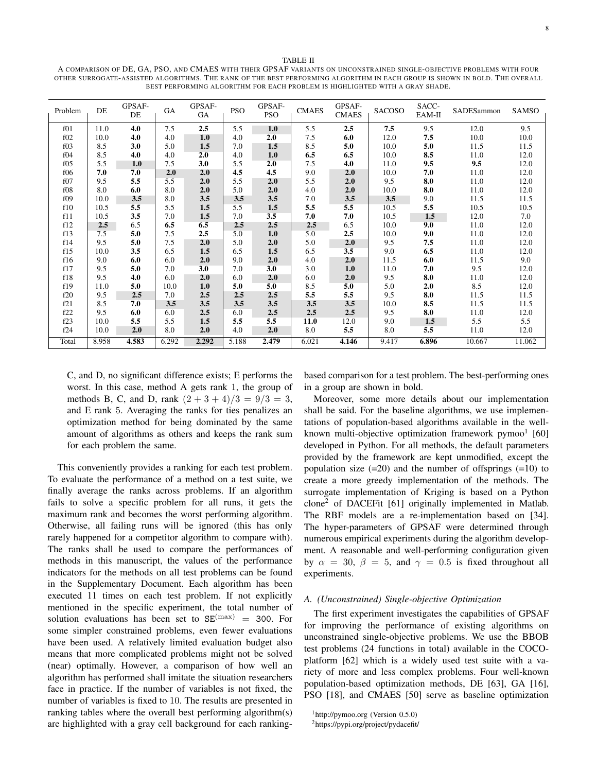TABLE II

A COMPARISON OF DE, GA, PSO, AND CMAES WITH THEIR GPSAF VARIANTS ON UNCONSTRAINED SINGLE-OBJECTIVE PROBLEMS WITH FOUR OTHER SURROGATE-ASSISTED ALGORITHMS. THE RANK OF THE BEST PERFORMING ALGORITHM IN EACH GROUP IS SHOWN IN BOLD. THE OVERALL BEST PERFORMING ALGORITHM FOR EACH PROBLEM IS HIGHLIGHTED WITH A GRAY SHADE.

| Problem         | DE    | GPSAF-<br>DE | GA    | GPSAF-<br>GA | <b>PSO</b> | GPSAF-<br><b>PSO</b> | <b>CMAES</b> | GPSAF-<br><b>CMAES</b> | <b>SACOSO</b> | SACC-<br>EAM-II | SADESammon | SAMSO  |
|-----------------|-------|--------------|-------|--------------|------------|----------------------|--------------|------------------------|---------------|-----------------|------------|--------|
| f01             | 11.0  | 4.0          | 7.5   | 2.5          | 5.5        | 1.0                  | 5.5          | 2.5                    | 7.5           | 9.5             | 12.0       | 9.5    |
| f <sub>02</sub> | 10.0  | 4.0          | 4.0   | 1.0          | 4.0        | 2.0                  | 7.5          | 6.0                    | 12.0          | 7.5             | 10.0       | 10.0   |
| f03             | 8.5   | 3.0          | 5.0   | 1.5          | 7.0        | 1.5                  | 8.5          | 5.0                    | 10.0          | 5.0             | 11.5       | 11.5   |
| f04             | 8.5   | 4.0          | 4.0   | 2.0          | 4.0        | 1.0                  | 6.5          | 6.5                    | 10.0          | 8.5             | 11.0       | 12.0   |
| f05             | 5.5   | 1.0          | 7.5   | 3.0          | 5.5        | 2.0                  | 7.5          | 4.0                    | 11.0          | 9.5             | 9.5        | 12.0   |
| f06             | 7.0   | 7.0          | 2.0   | 2.0          | 4.5        | 4.5                  | 9.0          | 2.0                    | 10.0          | 7.0             | 11.0       | 12.0   |
| f07             | 9.5   | 5.5          | 5.5   | 2.0          | 5.5        | 2.0                  | 5.5          | 2.0                    | 9.5           | 8.0             | 11.0       | 12.0   |
| f <sub>08</sub> | 8.0   | 6.0          | 8.0   | 2.0          | 5.0        | 2.0                  | 4.0          | 2.0                    | 10.0          | 8.0             | 11.0       | 12.0   |
| f09             | 10.0  | 3.5          | 8.0   | 3.5          | 3.5        | 3.5                  | 7.0          | 3.5                    | 3.5           | 9.0             | 11.5       | 11.5   |
| f10             | 10.5  | 5.5          | 5.5   | 1.5          | 5.5        | 1.5                  | 5.5          | 5.5                    | 10.5          | 5.5             | 10.5       | 10.5   |
| f11             | 10.5  | 3.5          | 7.0   | 1.5          | 7.0        | 3.5                  | 7.0          | 7.0                    | 10.5          | 1.5             | 12.0       | 7.0    |
| f12             | 2.5   | 6.5          | 6.5   | 6.5          | 2.5        | 2.5                  | 2.5          | 6.5                    | 10.0          | 9.0             | 11.0       | 12.0   |
| f13             | 7.5   | 5.0          | 7.5   | 2.5          | 5.0        | 1.0                  | 5.0          | 2.5                    | 10.0          | 9.0             | 11.0       | 12.0   |
| f14             | 9.5   | 5.0          | 7.5   | 2.0          | 5.0        | 2.0                  | 5.0          | 2.0                    | 9.5           | 7.5             | 11.0       | 12.0   |
| f15             | 10.0  | 3.5          | 6.5   | 1.5          | 6.5        | 1.5                  | 6.5          | 3.5                    | 9.0           | 6.5             | 11.0       | 12.0   |
| f16             | 9.0   | 6.0          | 6.0   | 2.0          | 9.0        | 2.0                  | 4.0          | 2.0                    | 11.5          | 6.0             | 11.5       | 9.0    |
| f17             | 9.5   | 5.0          | 7.0   | 3.0          | 7.0        | 3.0                  | 3.0          | 1.0                    | 11.0          | 7.0             | 9.5        | 12.0   |
| f18             | 9.5   | 4.0          | 6.0   | 2.0          | 6.0        | 2.0                  | 6.0          | 2.0                    | 9.5           | 8.0             | 11.0       | 12.0   |
| f19             | 11.0  | 5.0          | 10.0  | 1.0          | 5.0        | 5.0                  | 8.5          | 5.0                    | 5.0           | 2.0             | 8.5        | 12.0   |
| f20             | 9.5   | 2.5          | 7.0   | 2.5          | 2.5        | 2.5                  | 5.5          | 5.5                    | 9.5           | 8.0             | 11.5       | 11.5   |
| f21             | 8.5   | 7.0          | 3.5   | 3.5          | 3.5        | 3.5                  | 3.5          | 3.5                    | 10.0          | 8.5             | 11.5       | 11.5   |
| f22             | 9.5   | 6.0          | 6.0   | 2.5          | 6.0        | 2.5                  | 2.5          | 2.5                    | 9.5           | 8.0             | 11.0       | 12.0   |
| f23             | 10.0  | 5.5          | 5.5   | 1.5          | 5.5        | 5.5                  | 11.0         | 12.0                   | 9.0           | 1.5             | 5.5        | 5.5    |
| f24             | 10.0  | 2.0          | 8.0   | 2.0          | 4.0        | 2.0                  | 8.0          | 5.5                    | 8.0           | 5.5             | 11.0       | 12.0   |
| Total           | 8.958 | 4.583        | 6.292 | 2.292        | 5.188      | 2.479                | 6.021        | 4.146                  | 9.417         | 6.896           | 10.667     | 11.062 |

C, and D, no significant difference exists; E performs the worst. In this case, method A gets rank 1, the group of methods B, C, and D, rank  $(2 + 3 + 4)/3 = 9/3 = 3$ , and E rank 5. Averaging the ranks for ties penalizes an optimization method for being dominated by the same amount of algorithms as others and keeps the rank sum for each problem the same.

This conveniently provides a ranking for each test problem. To evaluate the performance of a method on a test suite, we finally average the ranks across problems. If an algorithm fails to solve a specific problem for all runs, it gets the maximum rank and becomes the worst performing algorithm. Otherwise, all failing runs will be ignored (this has only rarely happened for a competitor algorithm to compare with). The ranks shall be used to compare the performances of methods in this manuscript, the values of the performance indicators for the methods on all test problems can be found in the Supplementary Document. Each algorithm has been executed 11 times on each test problem. If not explicitly mentioned in the specific experiment, the total number of solution evaluations has been set to  $SE^{(\text{max})} = 300$ . For some simpler constrained problems, even fewer evaluations have been used. A relatively limited evaluation budget also means that more complicated problems might not be solved (near) optimally. However, a comparison of how well an algorithm has performed shall imitate the situation researchers face in practice. If the number of variables is not fixed, the number of variables is fixed to 10. The results are presented in ranking tables where the overall best performing algorithm(s) are highlighted with a gray cell background for each rankingbased comparison for a test problem. The best-performing ones in a group are shown in bold.

Moreover, some more details about our implementation shall be said. For the baseline algorithms, we use implementations of population-based algorithms available in the wellknown multi-objective optimization framework pymoo<sup>1</sup> [60] developed in Python. For all methods, the default parameters provided by the framework are kept unmodified, except the population size  $(=20)$  and the number of offsprings  $(=10)$  to create a more greedy implementation of the methods. The surrogate implementation of Kriging is based on a Python clone<sup>2</sup> of DACEFit [61] originally implemented in Matlab. The RBF models are a re-implementation based on [34]. The hyper-parameters of GPSAF were determined through numerous empirical experiments during the algorithm development. A reasonable and well-performing configuration given by  $\alpha = 30$ ,  $\beta = 5$ , and  $\gamma = 0.5$  is fixed throughout all experiments.

## *A. (Unconstrained) Single-objective Optimization*

The first experiment investigates the capabilities of GPSAF for improving the performance of existing algorithms on unconstrained single-objective problems. We use the BBOB test problems (24 functions in total) available in the COCOplatform [62] which is a widely used test suite with a variety of more and less complex problems. Four well-known population-based optimization methods, DE [63], GA [16], PSO [18], and CMAES [50] serve as baseline optimization

 $<sup>1</sup>$ http://pymoo.org (Version 0.5.0)</sup>

<sup>2</sup>https://pypi.org/project/pydacefit/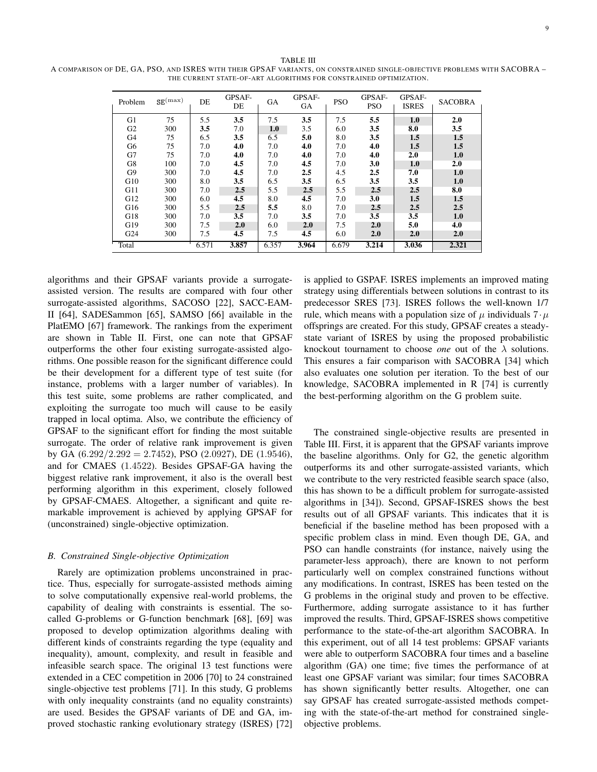TABLE III A COMPARISON OF DE, GA, PSO, AND ISRES WITH THEIR GPSAF VARIANTS, ON CONSTRAINED SINGLE-OBJECTIVE PROBLEMS WITH SACOBRA – THE CURRENT STATE-OF-ART ALGORITHMS FOR CONSTRAINED OPTIMIZATION.

| Problem         | $SE^{(\max)}$ | DE    | GPSAF-<br>DE | <b>GA</b> | GPSAF-<br>GA | <b>PSO</b> | GPSAF-<br><b>PSO</b> | GPSAF-<br><b>ISRES</b> | <b>SACOBRA</b> |
|-----------------|---------------|-------|--------------|-----------|--------------|------------|----------------------|------------------------|----------------|
| G1              | 75            | 5.5   | 3.5          | 7.5       | 3.5          | 7.5        | 5.5                  | 1.0                    | 2.0            |
| G <sub>2</sub>  | 300           | 3.5   | 7.0          | 1.0       | 3.5          | 6.0        | 3.5                  | 8.0                    | 3.5            |
| G4              | 75            | 6.5   | 3.5          | 6.5       | 5.0          | 8.0        | 3.5                  | 1.5                    | 1.5            |
| G6              | 75            | 7.0   | 4.0          | 7.0       | 4.0          | 7.0        | 4.0                  | 1.5                    | 1.5            |
| G7              | 75            | 7.0   | 4.0          | 7.0       | 4.0          | 7.0        | 4.0                  | 2.0                    | 1.0            |
| G8              | 100           | 7.0   | 4.5          | 7.0       | 4.5          | 7.0        | 3.0                  | 1.0                    | 2.0            |
| G9              | 300           | 7.0   | 4.5          | 7.0       | 2.5          | 4.5        | 2.5                  | 7.0                    | 1.0            |
| G10             | 300           | 8.0   | 3.5          | 6.5       | 3.5          | 6.5        | 3.5                  | 3.5                    | 1.0            |
| G11             | 300           | 7.0   | 2.5          | 5.5       | 2.5          | 5.5        | 2.5                  | 2.5                    | 8.0            |
| G12             | 300           | 6.0   | 4.5          | 8.0       | 4.5          | 7.0        | 3.0                  | 1.5                    | 1.5            |
| G16             | 300           | 5.5   | 2.5          | 5.5       | 8.0          | 7.0        | 2.5                  | 2.5                    | 2.5            |
| G18             | 300           | 7.0   | 3.5          | 7.0       | 3.5          | 7.0        | 3.5                  | 3.5                    | 1.0            |
| G19             | 300           | 7.5   | 2.0          | 6.0       | 2.0          | 7.5        | 2.0                  | 5.0                    | 4.0            |
| G <sub>24</sub> | 300           | 7.5   | 4.5          | 7.5       | 4.5          | 6.0        | 2.0                  | 2.0                    | 2.0            |
| Total           |               | 6.571 | 3.857        | 6.357     | 3.964        | 6.679      | 3.214                | 3.036                  | 2.321          |

algorithms and their GPSAF variants provide a surrogateassisted version. The results are compared with four other surrogate-assisted algorithms, SACOSO [22], SACC-EAM-II [64], SADESammon [65], SAMSO [66] available in the PlatEMO [67] framework. The rankings from the experiment are shown in Table II. First, one can note that GPSAF outperforms the other four existing surrogate-assisted algorithms. One possible reason for the significant difference could be their development for a different type of test suite (for instance, problems with a larger number of variables). In this test suite, some problems are rather complicated, and exploiting the surrogate too much will cause to be easily trapped in local optima. Also, we contribute the efficiency of GPSAF to the significant effort for finding the most suitable surrogate. The order of relative rank improvement is given by GA  $(6.292/2.292 = 2.7452)$ , PSO  $(2.0927)$ , DE  $(1.9546)$ , and for CMAES (1.4522). Besides GPSAF-GA having the biggest relative rank improvement, it also is the overall best performing algorithm in this experiment, closely followed by GPSAF-CMAES. Altogether, a significant and quite remarkable improvement is achieved by applying GPSAF for (unconstrained) single-objective optimization.

# *B. Constrained Single-objective Optimization*

Rarely are optimization problems unconstrained in practice. Thus, especially for surrogate-assisted methods aiming to solve computationally expensive real-world problems, the capability of dealing with constraints is essential. The socalled G-problems or G-function benchmark [68], [69] was proposed to develop optimization algorithms dealing with different kinds of constraints regarding the type (equality and inequality), amount, complexity, and result in feasible and infeasible search space. The original 13 test functions were extended in a CEC competition in 2006 [70] to 24 constrained single-objective test problems [71]. In this study, G problems with only inequality constraints (and no equality constraints) are used. Besides the GPSAF variants of DE and GA, improved stochastic ranking evolutionary strategy (ISRES) [72]

is applied to GSPAF. ISRES implements an improved mating strategy using differentials between solutions in contrast to its predecessor SRES [73]. ISRES follows the well-known 1/7 rule, which means with a population size of  $\mu$  individuals  $7 \cdot \mu$ offsprings are created. For this study, GPSAF creates a steadystate variant of ISRES by using the proposed probabilistic knockout tournament to choose *one* out of the  $\lambda$  solutions. This ensures a fair comparison with SACOBRA [34] which also evaluates one solution per iteration. To the best of our knowledge, SACOBRA implemented in R [74] is currently the best-performing algorithm on the G problem suite.

The constrained single-objective results are presented in Table III. First, it is apparent that the GPSAF variants improve the baseline algorithms. Only for G2, the genetic algorithm outperforms its and other surrogate-assisted variants, which we contribute to the very restricted feasible search space (also, this has shown to be a difficult problem for surrogate-assisted algorithms in [34]). Second, GPSAF-ISRES shows the best results out of all GPSAF variants. This indicates that it is beneficial if the baseline method has been proposed with a specific problem class in mind. Even though DE, GA, and PSO can handle constraints (for instance, naively using the parameter-less approach), there are known to not perform particularly well on complex constrained functions without any modifications. In contrast, ISRES has been tested on the G problems in the original study and proven to be effective. Furthermore, adding surrogate assistance to it has further improved the results. Third, GPSAF-ISRES shows competitive performance to the state-of-the-art algorithm SACOBRA. In this experiment, out of all 14 test problems: GPSAF variants were able to outperform SACOBRA four times and a baseline algorithm (GA) one time; five times the performance of at least one GPSAF variant was similar; four times SACOBRA has shown significantly better results. Altogether, one can say GPSAF has created surrogate-assisted methods competing with the state-of-the-art method for constrained singleobjective problems.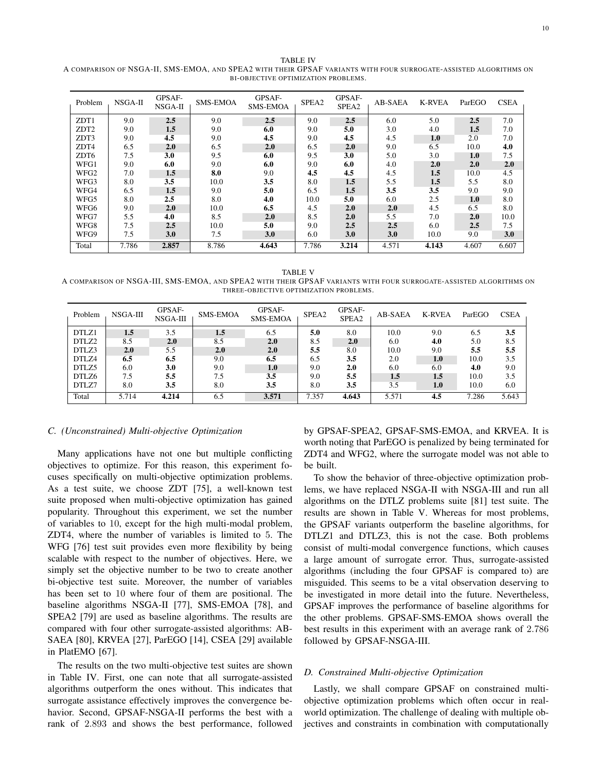TABLE IV A COMPARISON OF NSGA-II, SMS-EMOA, AND SPEA2 WITH THEIR GPSAF VARIANTS WITH FOUR SURROGATE-ASSISTED ALGORITHMS ON BI-OBJECTIVE OPTIMIZATION PROBLEMS.

| Problem          | NSGA-II | GPSAF-<br>NSGA-II | <b>SMS-EMOA</b> | GPSAF-<br><b>SMS-EMOA</b> | SPEA2 | GPSAF-<br>SPEA2 | AB-SAEA | <b>K-RVEA</b> | ParEGO | <b>CSEA</b> |
|------------------|---------|-------------------|-----------------|---------------------------|-------|-----------------|---------|---------------|--------|-------------|
| ZDT1             | 9.0     | 2.5               | 9.0             | 2.5                       | 9.0   | 2.5             | 6.0     | 5.0           | 2.5    | 7.0         |
| ZDT <sub>2</sub> | 9.0     | 1.5               | 9.0             | 6.0                       | 9.0   | 5.0             | 3.0     | 4.0           | 1.5    | 7.0         |
| ZDT3             | 9.0     | 4.5               | 9.0             | 4.5                       | 9.0   | 4.5             | 4.5     | 1.0           | 2.0    | 7.0         |
| ZDT4             | 6.5     | 2.0               | 6.5             | 2.0                       | 6.5   | 2.0             | 9.0     | 6.5           | 10.0   | 4.0         |
| ZDT <sub>6</sub> | 7.5     | 3.0               | 9.5             | 6.0                       | 9.5   | 3.0             | 5.0     | 3.0           | 1.0    | 7.5         |
| WFG1             | 9.0     | 6.0               | 9.0             | 6.0                       | 9.0   | 6.0             | 4.0     | 2.0           | 2.0    | 2.0         |
| WFG <sub>2</sub> | 7.0     | 1.5               | 8.0             | 9.0                       | 4.5   | 4.5             | 4.5     | 1.5           | 10.0   | 4.5         |
| WFG3             | 8.0     | 3.5               | 10.0            | 3.5                       | 8.0   | 1.5             | 5.5     | 1.5           | 5.5    | 8.0         |
| WFG4             | 6.5     | 1.5               | 9.0             | 5.0                       | 6.5   | 1.5             | 3.5     | 3.5           | 9.0    | 9.0         |
| WFG5             | 8.0     | 2.5               | 8.0             | 4.0                       | 10.0  | 5.0             | 6.0     | 2.5           | 1.0    | 8.0         |
| WFG6             | 9.0     | 2.0               | 10.0            | 6.5                       | 4.5   | 2.0             | 2.0     | 4.5           | 6.5    | 8.0         |
| WFG7             | 5.5     | 4.0               | 8.5             | 2.0                       | 8.5   | 2.0             | 5.5     | 7.0           | 2.0    | 10.0        |
| WFG8             | 7.5     | 2.5               | 10.0            | 5.0                       | 9.0   | 2.5             | 2.5     | 6.0           | 2.5    | 7.5         |
| WFG9             | 7.5     | 3.0               | 7.5             | 3.0                       | 6.0   | 3.0             | 3.0     | 10.0          | 9.0    | 3.0         |
| Total            | 7.786   | 2.857             | 8.786           | 4.643                     | 7.786 | 3.214           | 4.571   | 4.143         | 4.607  | 6.607       |

TABLE V A COMPARISON OF NSGA-III, SMS-EMOA, AND SPEA2 WITH THEIR GPSAF VARIANTS WITH FOUR SURROGATE-ASSISTED ALGORITHMS ON THREE-OBJECTIVE OPTIMIZATION PROBLEMS.

| Problem | NSGA-III | GPSAF-<br>NSGA-III | <b>SMS-EMOA</b> | GPSAF-<br><b>SMS-EMOA</b> | SPEA2 | GPSAF-<br>SPEA2 | AB-SAEA | <b>K-RVEA</b> | ParEGO | <b>CSEA</b> |
|---------|----------|--------------------|-----------------|---------------------------|-------|-----------------|---------|---------------|--------|-------------|
| DTLZ1   | 1.5      | 3.5                | $1.5\,$         | 6.5                       | 5.0   | 8.0             | 10.0    | 9.0           | 6.5    | 3.5         |
| DTLZ2   | 8.5      | 2.0                | 8.5             | 2.0                       | 8.5   | 2.0             | 6.0     | 4.0           | 5.0    | 8.5         |
| DTLZ3   | 2.0      | 5.5                | 2.0             | 2.0                       | 5.5   | 8.0             | 10.0    | 9.0           | 5.5    | 5.5         |
| DTLZ4   | 6.5      | 6.5                | 9.0             | 6.5                       | 6.5   | 3.5             | 2.0     | 1.0           | 10.0   | 3.5         |
| DTLZ5   | 6.0      | 3.0                | 9.0             | 1.0                       | 9.0   | 2.0             | 6.0     | 6.0           | 4.0    | 9.0         |
| DTLZ6   | 7.5      | 5.5                | 7.5             | 3.5                       | 9.0   | 5.5             | 1.5     | 1.5           | 10.0   | 3.5         |
| DTLZ7   | 8.0      | 3.5                | 8.0             | 3.5                       | 8.0   | 3.5             | 3.5     | 1.0           | 10.0   | 6.0         |
| Total   | 5.714    | 4.214              | 6.5             | 3.571                     | 7.357 | 4.643           | 5.571   | 4.5           | 7.286  | 5.643       |

# *C. (Unconstrained) Multi-objective Optimization*

Many applications have not one but multiple conflicting objectives to optimize. For this reason, this experiment focuses specifically on multi-objective optimization problems. As a test suite, we choose ZDT [75], a well-known test suite proposed when multi-objective optimization has gained popularity. Throughout this experiment, we set the number of variables to 10, except for the high multi-modal problem, ZDT4, where the number of variables is limited to 5. The WFG [76] test suit provides even more flexibility by being scalable with respect to the number of objectives. Here, we simply set the objective number to be two to create another bi-objective test suite. Moreover, the number of variables has been set to 10 where four of them are positional. The baseline algorithms NSGA-II [77], SMS-EMOA [78], and SPEA2 [79] are used as baseline algorithms. The results are compared with four other surrogate-assisted algorithms: AB-SAEA [80], KRVEA [27], ParEGO [14], CSEA [29] available in PlatEMO [67].

The results on the two multi-objective test suites are shown in Table IV. First, one can note that all surrogate-assisted algorithms outperform the ones without. This indicates that surrogate assistance effectively improves the convergence behavior. Second, GPSAF-NSGA-II performs the best with a rank of 2.893 and shows the best performance, followed

by GPSAF-SPEA2, GPSAF-SMS-EMOA, and KRVEA. It is worth noting that ParEGO is penalized by being terminated for ZDT4 and WFG2, where the surrogate model was not able to be built.

To show the behavior of three-objective optimization problems, we have replaced NSGA-II with NSGA-III and run all algorithms on the DTLZ problems suite [81] test suite. The results are shown in Table V. Whereas for most problems, the GPSAF variants outperform the baseline algorithms, for DTLZ1 and DTLZ3, this is not the case. Both problems consist of multi-modal convergence functions, which causes a large amount of surrogate error. Thus, surrogate-assisted algorithms (including the four GPSAF is compared to) are misguided. This seems to be a vital observation deserving to be investigated in more detail into the future. Nevertheless, GPSAF improves the performance of baseline algorithms for the other problems. GPSAF-SMS-EMOA shows overall the best results in this experiment with an average rank of 2.786 followed by GPSAF-NSGA-III.

#### *D. Constrained Multi-objective Optimization*

Lastly, we shall compare GPSAF on constrained multiobjective optimization problems which often occur in realworld optimization. The challenge of dealing with multiple objectives and constraints in combination with computationally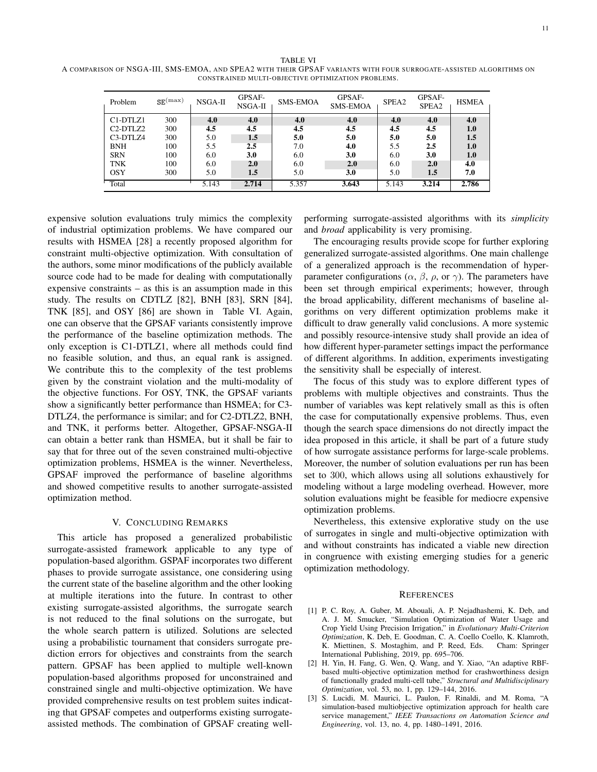| Problem                                        | $SE^{(\max)}$ | NSGA-II | GPSAF-<br>NSGA-II | <b>SMS-EMOA</b> | GPSAF-<br><b>SMS-EMOA</b> | SPEA <sub>2</sub> | GPSAF-<br>SPEA2 | <b>HSMEA</b> |
|------------------------------------------------|---------------|---------|-------------------|-----------------|---------------------------|-------------------|-----------------|--------------|
| C1-DTLZ1                                       | 300           | 4.0     | 4.0               | 4.0             | 4.0                       | 4.0               | 4.0             | 4.0          |
| C <sub>2</sub> -D <sub>TL</sub> Z <sub>2</sub> | 300           | 4.5     | 4.5               | 4.5             | 4.5                       | 4.5               | 4.5             | 1.0          |
| C3-DTLZ4                                       | 300           | 5.0     | 1.5               | 5.0             | 5.0                       | 5.0               | 5.0             | 1.5          |
| <b>BNH</b>                                     | 100           | 5.5     | 2.5               | 7.0             | 4.0                       | 5.5               | 2.5             | 1.0          |
| <b>SRN</b>                                     | 100           | 6.0     | 3.0               | 6.0             | 3.0                       | 6.0               | 3.0             | 1.0          |
| <b>TNK</b>                                     | 100           | 6.0     | 2.0               | 6.0             | 2.0                       | 6.0               | 2.0             | 4.0          |
| <b>OSY</b>                                     | 300           | 5.0     | 1.5               | 5.0             | 3.0                       | 5.0               | 1.5             | 7.0          |
| Total                                          |               | 5.143   | 2.714             | 5.357           | 3.643                     | 5.143             | 3.214           | 2.786        |

CONSTRAINED MULTI-OBJECTIVE OPTIMIZATION PROBLEMS.

expensive solution evaluations truly mimics the complexity of industrial optimization problems. We have compared our results with HSMEA [28] a recently proposed algorithm for constraint multi-objective optimization. With consultation of the authors, some minor modifications of the publicly available source code had to be made for dealing with computationally expensive constraints – as this is an assumption made in this study. The results on CDTLZ [82], BNH [83], SRN [84], TNK [85], and OSY [86] are shown in Table VI. Again, one can observe that the GPSAF variants consistently improve the performance of the baseline optimization methods. The only exception is C1-DTLZ1, where all methods could find no feasible solution, and thus, an equal rank is assigned. We contribute this to the complexity of the test problems given by the constraint violation and the multi-modality of the objective functions. For OSY, TNK, the GPSAF variants show a significantly better performance than HSMEA; for C3- DTLZ4, the performance is similar; and for C2-DTLZ2, BNH, and TNK, it performs better. Altogether, GPSAF-NSGA-II can obtain a better rank than HSMEA, but it shall be fair to say that for three out of the seven constrained multi-objective optimization problems, HSMEA is the winner. Nevertheless, GPSAF improved the performance of baseline algorithms and showed competitive results to another surrogate-assisted optimization method.

#### V. CONCLUDING REMARKS

This article has proposed a generalized probabilistic surrogate-assisted framework applicable to any type of population-based algorithm. GSPAF incorporates two different phases to provide surrogate assistance, one considering using the current state of the baseline algorithm and the other looking at multiple iterations into the future. In contrast to other existing surrogate-assisted algorithms, the surrogate search is not reduced to the final solutions on the surrogate, but the whole search pattern is utilized. Solutions are selected using a probabilistic tournament that considers surrogate prediction errors for objectives and constraints from the search pattern. GPSAF has been applied to multiple well-known population-based algorithms proposed for unconstrained and constrained single and multi-objective optimization. We have provided comprehensive results on test problem suites indicating that GPSAF competes and outperforms existing surrogateassisted methods. The combination of GPSAF creating wellperforming surrogate-assisted algorithms with its *simplicity* and *broad* applicability is very promising.

The encouraging results provide scope for further exploring generalized surrogate-assisted algorithms. One main challenge of a generalized approach is the recommendation of hyperparameter configurations ( $\alpha$ ,  $\beta$ ,  $\rho$ , or  $\gamma$ ). The parameters have been set through empirical experiments; however, through the broad applicability, different mechanisms of baseline algorithms on very different optimization problems make it difficult to draw generally valid conclusions. A more systemic and possibly resource-intensive study shall provide an idea of how different hyper-parameter settings impact the performance of different algorithms. In addition, experiments investigating the sensitivity shall be especially of interest.

The focus of this study was to explore different types of problems with multiple objectives and constraints. Thus the number of variables was kept relatively small as this is often the case for computationally expensive problems. Thus, even though the search space dimensions do not directly impact the idea proposed in this article, it shall be part of a future study of how surrogate assistance performs for large-scale problems. Moreover, the number of solution evaluations per run has been set to 300, which allows using all solutions exhaustively for modeling without a large modeling overhead. However, more solution evaluations might be feasible for mediocre expensive optimization problems.

Nevertheless, this extensive explorative study on the use of surrogates in single and multi-objective optimization with and without constraints has indicated a viable new direction in congruence with existing emerging studies for a generic optimization methodology.

#### **REFERENCES**

- [1] P. C. Roy, A. Guber, M. Abouali, A. P. Nejadhashemi, K. Deb, and A. J. M. Smucker, "Simulation Optimization of Water Usage and Crop Yield Using Precision Irrigation," in *Evolutionary Multi-Criterion Optimization*, K. Deb, E. Goodman, C. A. Coello Coello, K. Klamroth, K. Miettinen, S. Mostaghim, and P. Reed, Eds. Cham: Springer International Publishing, 2019, pp. 695–706.
- [2] H. Yin, H. Fang, G. Wen, Q. Wang, and Y. Xiao, "An adaptive RBFbased multi-objective optimization method for crashworthiness design of functionally graded multi-cell tube," *Structural and Multidisciplinary Optimization*, vol. 53, no. 1, pp. 129–144, 2016.
- [3] S. Lucidi, M. Maurici, L. Paulon, F. Rinaldi, and M. Roma, "A simulation-based multiobjective optimization approach for health care service management," *IEEE Transactions on Automation Science and Engineering*, vol. 13, no. 4, pp. 1480–1491, 2016.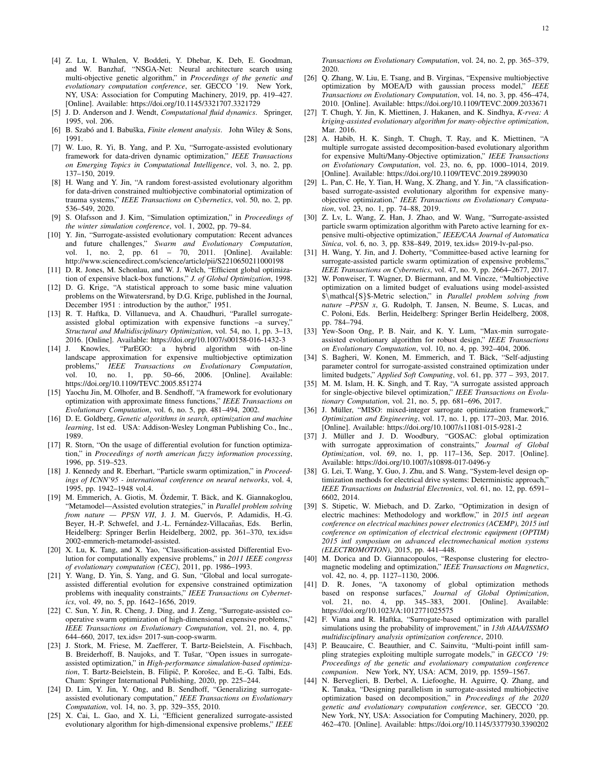- [4] Z. Lu, I. Whalen, V. Boddeti, Y. Dhebar, K. Deb, E. Goodman, and W. Banzhaf, "NSGA-Net: Neural architecture search using multi-objective genetic algorithm," in *Proceedings of the genetic and evolutionary computation conference*, ser. GECCO '19. New York, NY, USA: Association for Computing Machinery, 2019, pp. 419–427. [Online]. Available: https://doi.org/10.1145/3321707.3321729
- [5] J. D. Anderson and J. Wendt, *Computational fluid dynamics*. Springer, 1995, vol. 206.
- [6] B. Szabó and I. Babuška, *Finite element analysis*. John Wiley & Sons, 1991.
- [7] W. Luo, R. Yi, B. Yang, and P. Xu, "Surrogate-assisted evolutionary framework for data-driven dynamic optimization," *IEEE Transactions on Emerging Topics in Computational Intelligence*, vol. 3, no. 2, pp. 137–150, 2019.
- [8] H. Wang and Y. Jin, "A random forest-assisted evolutionary algorithm for data-driven constrained multiobjective combinatorial optimization of trauma systems," *IEEE Transactions on Cybernetics*, vol. 50, no. 2, pp. 536–549, 2020.
- [9] S. Olafsson and J. Kim, "Simulation optimization," in *Proceedings of the winter simulation conference*, vol. 1, 2002, pp. 79–84.
- [10] Y. Jin, "Surrogate-assisted evolutionary computation: Recent advances and future challenges," *Swarm and Evolutionary Computation*, vol. 1, no. 2, pp. 61 – 70, 2011. [Online]. Available: http://www.sciencedirect.com/science/article/pii/S2210650211000198
- [11] D. R. Jones, M. Schonlau, and W. J. Welch, "Efficient global optimization of expensive black-box functions," *J. of Global Optimization*, 1998.
- [12] D. G. Krige, "A statistical approach to some basic mine valuation problems on the Witwatersrand, by D.G. Krige, published in the Journal, December 1951 : introduction by the author," 1951.
- [13] R. T. Haftka, D. Villanueva, and A. Chaudhuri, "Parallel surrogateassisted global optimization with expensive functions –a survey," *Structural and Multidisciplinary Optimization*, vol. 54, no. 1, pp. 3–13, 2016. [Online]. Available: https://doi.org/10.1007/s00158-016-1432-3
- [14] J. Knowles, "ParEGO: a hybrid algorithm with on-line landscape approximation for expensive multiobjective optimization problems," IEEE Transactions on Evolutionary Computation, problems," *IEEE Transactions on Evolutionary Computation*, vol. 10, no. 1, pp. 50–66, 2006. [Online]. Available: https://doi.org/10.1109/TEVC.2005.851274
- [15] Yaochu Jin, M. Olhofer, and B. Sendhoff, "A framework for evolutionary optimization with approximate fitness functions," *IEEE Transactions on Evolutionary Computation*, vol. 6, no. 5, pp. 481–494, 2002.
- [16] D. E. Goldberg, *Genetic algorithms in search, optimization and machine learning*, 1st ed. USA: Addison-Wesley Longman Publishing Co., Inc., 1989.
- [17] R. Storn, "On the usage of differential evolution for function optimization," in *Proceedings of north american fuzzy information processing*, 1996, pp. 519–523.
- [18] J. Kennedy and R. Eberhart, "Particle swarm optimization," in *Proceedings of ICNN'95 - international conference on neural networks*, vol. 4, 1995, pp. 1942–1948 vol.4.
- [19] M. Emmerich, A. Giotis, M. Özdemir, T. Bäck, and K. Giannakoglou, "Metamodel—Assisted evolution strategies," in *Parallel problem solving from nature - PPSN VII*, J. J. M. Guervós, P. Adamidis, H.-G. Beyer, H.-P. Schwefel, and J.-L. Fernández-Villacañas, Eds. Berlin, Heidelberg: Springer Berlin Heidelberg, 2002, pp. 361–370, tex.ids= 2002-emmerich-metamodel-assisted.
- [20] X. Lu, K. Tang, and X. Yao, "Classification-assisted Differential Evolution for computationally expensive problems," in *2011 IEEE congress of evolutionary computation (CEC)*, 2011, pp. 1986–1993.
- [21] Y. Wang, D. Yin, S. Yang, and G. Sun, "Global and local surrogateassisted differential evolution for expensive constrained optimization problems with inequality constraints," *IEEE Transactions on Cybernetics*, vol. 49, no. 5, pp. 1642–1656, 2019.
- [22] C. Sun, Y. Jin, R. Cheng, J. Ding, and J. Zeng, "Surrogate-assisted cooperative swarm optimization of high-dimensional expensive problems," *IEEE Transactions on Evolutionary Computation*, vol. 21, no. 4, pp. 644–660, 2017, tex.ids= 2017-sun-coop-swarm.
- [23] J. Stork, M. Friese, M. Zaefferer, T. Bartz-Beielstein, A. Fischbach, B. Breiderhoff, B. Naujoks, and T. Tušar, "Open issues in surrogateassisted optimization," in *High-performance simulation-based optimization*, T. Bartz-Beielstein, B. Filipič, P. Korošec, and E.-G. Talbi, Eds. Cham: Springer International Publishing, 2020, pp. 225–244.
- [24] D. Lim, Y. Jin, Y. Ong, and B. Sendhoff, "Generalizing surrogateassisted evolutionary computation," *IEEE Transactions on Evolutionary Computation*, vol. 14, no. 3, pp. 329–355, 2010.
- [25] X. Cai, L. Gao, and X. Li, "Efficient generalized surrogate-assisted evolutionary algorithm for high-dimensional expensive problems," *IEEE*

*Transactions on Evolutionary Computation*, vol. 24, no. 2, pp. 365–379, 2020.

- [26] Q. Zhang, W. Liu, E. Tsang, and B. Virginas, "Expensive multiobjective optimization by MOEA/D with gaussian process model," *IEEE Transactions on Evolutionary Computation*, vol. 14, no. 3, pp. 456–474, 2010. [Online]. Available: https://doi.org/10.1109/TEVC.2009.2033671
- [27] T. Chugh, Y. Jin, K. Miettinen, J. Hakanen, and K. Sindhya, *K-rvea: A kriging-assisted evolutionary algorithm for many-objective optimization*, Mar. 2016.
- [28] A. Habib, H. K. Singh, T. Chugh, T. Ray, and K. Miettinen, "A multiple surrogate assisted decomposition-based evolutionary algorithm for expensive Multi/Many-Objective optimization," *IEEE Transactions on Evolutionary Computation*, vol. 23, no. 6, pp. 1000–1014, 2019. [Online]. Available: https://doi.org/10.1109/TEVC.2019.2899030
- [29] L. Pan, C. He, Y. Tian, H. Wang, X. Zhang, and Y. Jin, "A classificationbased surrogate-assisted evolutionary algorithm for expensive manyobjective optimization," *IEEE Transactions on Evolutionary Computation*, vol. 23, no. 1, pp. 74–88, 2019.
- [30] Z. Lv, L. Wang, Z. Han, J. Zhao, and W. Wang, "Surrogate-assisted particle swarm optimization algorithm with Pareto active learning for expensive multi-objective optimization," *IEEE/CAA Journal of Automatica Sinica*, vol. 6, no. 3, pp. 838–849, 2019, tex.ids= 2019-lv-pal-pso.
- [31] H. Wang, Y. Jin, and J. Doherty, "Committee-based active learning for surrogate-assisted particle swarm optimization of expensive problems," *IEEE Transactions on Cybernetics*, vol. 47, no. 9, pp. 2664–2677, 2017.
- [32] W. Ponweiser, T. Wagner, D. Biermann, and M. Vincze, "Multiobjective optimization on a limited budget of evaluations using model-assisted \$\mathcal{S}\$-Metric selection," in *Parallel problem solving from nature –PPSN x*, G. Rudolph, T. Jansen, N. Beume, S. Lucas, and C. Poloni, Eds. Berlin, Heidelberg: Springer Berlin Heidelberg, 2008, pp. 784–794.
- [33] Yew-Soon Ong, P. B. Nair, and K. Y. Lum, "Max-min surrogateassisted evolutionary algorithm for robust design," *IEEE Transactions on Evolutionary Computation*, vol. 10, no. 4, pp. 392–404, 2006.
- [34] S. Bagheri, W. Konen, M. Emmerich, and T. Bäck, "Self-adjusting parameter control for surrogate-assisted constrained optimization under limited budgets," *Applied Soft Computing*, vol. 61, pp. 377 – 393, 2017.
- [35] M. M. Islam, H. K. Singh, and T. Ray, "A surrogate assisted approach for single-objective bilevel optimization," *IEEE Transactions on Evolutionary Computation*, vol. 21, no. 5, pp. 681–696, 2017.
- [36] J. Müller, "MISO: mixed-integer surrogate optimization framework," *Optimization and Engineering*, vol. 17, no. 1, pp. 177–203, Mar. 2016. [Online]. Available: https://doi.org/10.1007/s11081-015-9281-2
- [37] J. Müller and J. D. Woodbury, "GOSAC: global optimization with surrogate approximation of constraints," *Journal of Global Optimization*, vol. 69, no. 1, pp. 117–136, Sep. 2017. [Online]. Available: https://doi.org/10.1007/s10898-017-0496-y
- [38] G. Lei, T. Wang, Y. Guo, J. Zhu, and S. Wang, "System-level design optimization methods for electrical drive systems: Deterministic approach," *IEEE Transactions on Industrial Electronics*, vol. 61, no. 12, pp. 6591– 6602, 2014.
- [39] S. Stipetic, W. Miebach, and D. Zarko, "Optimization in design of electric machines: Methodology and workflow," in *2015 intl aegean conference on electrical machines power electronics (ACEMP), 2015 intl conference on optimization of electrical electronic equipment (OPTIM) 2015 intl symposium on advanced electromechanical motion systems (ELECTROMOTION)*, 2015, pp. 441–448.
- [40] M. Dorica and D. Giannacopoulos, "Response clustering for electromagnetic modeling and optimization," *IEEE Transactions on Magnetics*, vol. 42, no. 4, pp. 1127–1130, 2006.
- [41] D. R. Jones, "A taxonomy of global optimization methods based on response surfaces," *Journal of Global Optimization*, vol. 21, no. 4, pp. 345–383, 2001. [Online]. Available: https://doi.org/10.1023/A:1012771025575
- [42] F. Viana and R. Haftka, "Surrogate-based optimization with parallel simulations using the probability of improvement," in *13th AIAA/ISSMO multidisciplinary analysis optimization conference*, 2010.
- [43] P. Beaucaire, C. Beauthier, and C. Sainvitu, "Multi-point infill sampling strategies exploiting multiple surrogate models," in *GECCO '19: Proceedings of the genetic and evolutionary computation conference companion*. New York, NY, USA: ACM, 2019, pp. 1559–1567.
- [44] N. Berveglieri, B. Derbel, A. Liefooghe, H. Aguirre, Q. Zhang, and K. Tanaka, "Designing parallelism in surrogate-assisted multiobjective optimization based on decomposition," in *Proceedings of the 2020 genetic and evolutionary computation conference*, ser. GECCO '20. New York, NY, USA: Association for Computing Machinery, 2020, pp. 462–470. [Online]. Available: https://doi.org/10.1145/3377930.3390202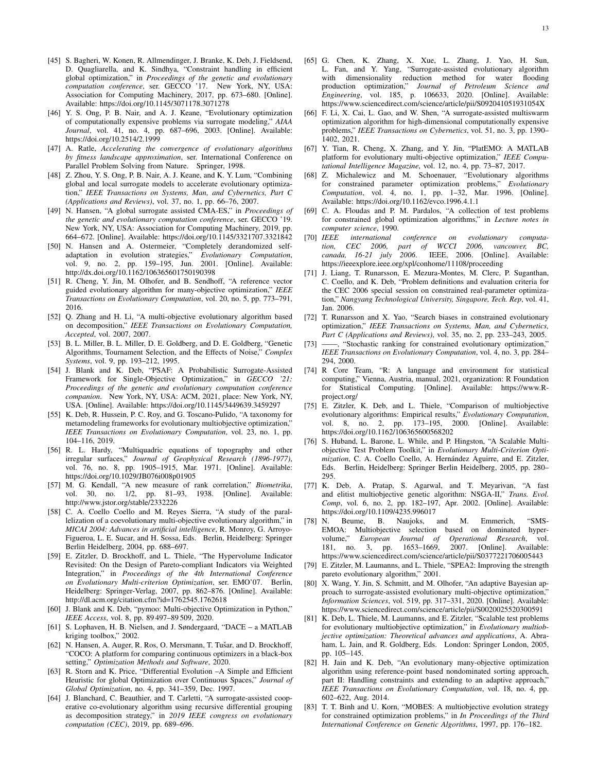- [45] S. Bagheri, W. Konen, R. Allmendinger, J. Branke, K. Deb, J. Fieldsend, D. Quagliarella, and K. Sindhya, "Constraint handling in efficient global optimization," in *Proceedings of the genetic and evolutionary computation conference*, ser. GECCO '17. New York, NY, USA: Association for Computing Machinery, 2017, pp. 673–680. [Online]. Available: https://doi.org/10.1145/3071178.3071278
- [46] Y. S. Ong, P. B. Nair, and A. J. Keane, "Evolutionary optimization of computationally expensive problems via surrogate modeling," *AIAA Journal*, vol. 41, no. 4, pp. 687–696, 2003. [Online]. Available: https://doi.org/10.2514/2.1999
- [47] A. Ratle, *Accelerating the convergence of evolutionary algorithms by fitness landscape approximation*, ser. International Conference on Parallel Problem Solving from Nature. Springer, 1998.
- [48] Z. Zhou, Y. S. Ong, P. B. Nair, A. J. Keane, and K. Y. Lum, "Combining global and local surrogate models to accelerate evolutionary optimization," *IEEE Transactions on Systems, Man, and Cybernetics, Part C (Applications and Reviews)*, vol. 37, no. 1, pp. 66–76, 2007.
- [49] N. Hansen, "A global surrogate assisted CMA-ES," in *Proceedings of the genetic and evolutionary computation conference*, ser. GECCO '19. New York, NY, USA: Association for Computing Machinery, 2019, pp. 664–672. [Online]. Available: https://doi.org/10.1145/3321707.3321842
- [50] N. Hansen and A. Ostermeier, "Completely derandomized selfadaptation in evolution strategies," *Evolutionary Computation*, vol. 9, no. 2, pp. 159–195, Jun. 2001. [Online]. Available: http://dx.doi.org/10.1162/106365601750190398
- [51] R. Cheng, Y. Jin, M. Olhofer, and B. Sendhoff, "A reference vector guided evolutionary algorithm for many-objective optimization," *IEEE Transactions on Evolutionary Computation*, vol. 20, no. 5, pp. 773–791, 2016.
- [52] Q. Zhang and H. Li, "A multi-objective evolutionary algorithm based on decomposition," *IEEE Transactions on Evolutionary Computation, Accepted*, vol. 2007, 2007.
- [53] B. L. Miller, B. L. Miller, D. E. Goldberg, and D. E. Goldberg, "Genetic Algorithms, Tournament Selection, and the Effects of Noise," *Complex Systems*, vol. 9, pp. 193–212, 1995.
- [54] J. Blank and K. Deb, "PSAF: A Probabilistic Surrogate-Assisted Framework for Single-Objective Optimization," in *GECCO '21: Proceedings of the genetic and evolutionary computation conference companion*. New York, NY, USA: ACM, 2021, place: New York, NY, USA. [Online]. Available: https://doi.org/10.1145/3449639.3459297
- [55] K. Deb, R. Hussein, P. C. Roy, and G. Toscano-Pulido, "A taxonomy for metamodeling frameworks for evolutionary multiobjective optimization," *IEEE Transactions on Evolutionary Computation*, vol. 23, no. 1, pp. 104–116, 2019.
- [56] R. L. Hardy, "Multiquadric equations of topography and other irregular surfaces," *Journal of Geophysical Research (1896-1977)*, vol. 76, no. 8, pp. 1905–1915, Mar. 1971. [Online]. Available: https://doi.org/10.1029/JB076i008p01905
- [57] M. G. Kendall, "A new measure of rank correlation," *Biometrika*, vol. 30, no. 1/2, pp. 81–93, 1938. [Online]. Available: http://www.jstor.org/stable/2332226
- [58] C. A. Coello Coello and M. Reyes Sierra, "A study of the parallelization of a coevolutionary multi-objective evolutionary algorithm," in *MICAI 2004: Advances in artificial intelligence*, R. Monroy, G. Arroyo-Figueroa, L. E. Sucar, and H. Sossa, Eds. Berlin, Heidelberg: Springer Berlin Heidelberg, 2004, pp. 688–697.
- [59] E. Zitzler, D. Brockhoff, and L. Thiele, "The Hypervolume Indicator Revisited: On the Design of Pareto-compliant Indicators via Weighted Integration," in *Proceedings of the 4th International Conference on Evolutionary Multi-criterion Optimization*, ser. EMO'07. Berlin, Heidelberg: Springer-Verlag, 2007, pp. 862–876. [Online]. Available: http://dl.acm.org/citation.cfm?id=1762545.1762618
- [60] J. Blank and K. Deb, "pymoo: Multi-objective Optimization in Python," *IEEE Access*, vol. 8, pp. 89 497–89 509, 2020.
- [61] S. Lophaven, H. B. Nielsen, and J. Søndergaard, "DACE a MATLAB kriging toolbox," 2002.
- [62] N. Hansen, A. Auger, R. Ros, O. Mersmann, T. Tušar, and D. Brockhoff, "COCO: A platform for comparing continuous optimizers in a black-box setting," *Optimization Methods and Software*, 2020.
- [63] R. Storn and K. Price, "Differential Evolution –A Simple and Efficient Heuristic for global Optimization over Continuous Spaces," *Journal of Global Optimization*, no. 4, pp. 341–359, Dec. 1997.
- [64] J. Blanchard, C. Beauthier, and T. Carletti, "A surrogate-assisted cooperative co-evolutionary algorithm using recursive differential grouping as decomposition strategy," in *2019 IEEE congress on evolutionary computation (CEC)*, 2019, pp. 689–696.
- [65] G. Chen, K. Zhang, X. Xue, L. Zhang, J. Yao, H. Sun, L. Fan, and Y. Yang, "Surrogate-assisted evolutionary algorithm with dimensionality reduction method for water flooding production optimization," *Journal of Petroleum Science and Engineering*, vol. 185, p. 106633, 2020. [Online]. Available: https://www.sciencedirect.com/science/article/pii/S092041051931054X
- [66] F. Li, X. Cai, L. Gao, and W. Shen, "A surrogate-assisted multiswarm optimization algorithm for high-dimensional computationally expensive problems," *IEEE Transactions on Cybernetics*, vol. 51, no. 3, pp. 1390– 1402, 2021.
- [67] Y. Tian, R. Cheng, X. Zhang, and Y. Jin, "PlatEMO: A MATLAB platform for evolutionary multi-objective optimization," *IEEE Computational Intelligence Magazine*, vol. 12, no. 4, pp. 73–87, 2017.
- [68] Z. Michalewicz and M. Schoenauer, "Evolutionary algorithms for constrained parameter optimization problems," *Evolutionary Computation*, vol. 4, no. 1, pp. 1–32, Mar. 1996. [Online]. Available: https://doi.org/10.1162/evco.1996.4.1.1
- [69] C. A. Floudas and P. M. Pardalos, "A collection of test problems for constrained global optimization algorithms," in *Lecture notes in computer science*, 1990.<br>[70] *IEEE international*
- international conference on evolutionary computa*tion, CEC 2006, part of WCCI 2006, vancouver, BC, canada, 16-21 july 2006*. IEEE, 2006. [Online]. Available: https://ieeexplore.ieee.org/xpl/conhome/11108/proceeding
- [71] J. Liang, T. Runarsson, E. Mezura-Montes, M. Clerc, P. Suganthan, C. Coello, and K. Deb, "Problem definitions and evaluation criteria for the CEC 2006 special session on constrained real-parameter optimization," *Nangyang Technological University, Singapore, Tech. Rep*, vol. 41, Jan. 2006.
- [72] T. Runarsson and X. Yao, "Search biases in constrained evolutionary optimization," *IEEE Transactions on Systems, Man, and Cybernetics, Part C (Applications and Reviews)*, vol. 35, no. 2, pp. 233–243, 2005.
- [73] -, "Stochastic ranking for constrained evolutionary optimization," *IEEE Transactions on Evolutionary Computation*, vol. 4, no. 3, pp. 284– 294, 2000.
- [74] R Core Team, "R: A language and environment for statistical computing," Vienna, Austria, manual, 2021, organization: R Foundation for Statistical Computing. [Online]. Available: https://www.Rproject.org/
- [75] E. Zitzler, K. Deb, and L. Thiele, "Comparison of multiobjective evolutionary algorithms: Empirical results," *Evolutionary Computation*, vol. 8, no. 2, pp. 173–195, 2000. [Online]. Available: https://doi.org/10.1162/106365600568202
- [76] S. Huband, L. Barone, L. While, and P. Hingston, "A Scalable Multiobjective Test Problem Toolkit," in *Evolutionary Multi-Criterion Optimization*, C. A. Coello Coello, A. Hernández Aguirre, and E. Zitzler, Eds. Berlin, Heidelberg: Springer Berlin Heidelberg, 2005, pp. 280– 295.
- [77] K. Deb, A. Pratap, S. Agarwal, and T. Meyarivan, "A fast and elitist multiobjective genetic algorithm: NSGA-II," *Trans. Evol. Comp*, vol. 6, no. 2, pp. 182–197, Apr. 2002. [Online]. Available: https://doi.org/10.1109/4235.996017
- [78] N. Beume, B. Naujoks, and M. Emmerich, "SMS-EMOA: Multiobjective selection based on dominated hypervolume," *European Journal of Operational Research*, vol. 181, no. 3, pp. 1653–1669, 2007. [Online]. Available: https://www.sciencedirect.com/science/article/pii/S0377221706005443
- [79] E. Zitzler, M. Laumanns, and L. Thiele, "SPEA2: Improving the strength pareto evolutionary algorithm," 2001.
- [80] X. Wang, Y. Jin, S. Schmitt, and M. Olhofer, "An adaptive Bayesian approach to surrogate-assisted evolutionary multi-objective optimization," *Information Sciences*, vol. 519, pp. 317–331, 2020. [Online]. Available: https://www.sciencedirect.com/science/article/pii/S0020025520300591
- [81] K. Deb, L. Thiele, M. Laumanns, and E. Zitzler, "Scalable test problems for evolutionary multiobjective optimization," in *Evolutionary multiobjective optimization: Theoretical advances and applications*, A. Abraham, L. Jain, and R. Goldberg, Eds. London: Springer London, 2005, pp. 105–145.
- [82] H. Jain and K. Deb, "An evolutionary many-objective optimization algorithm using reference-point based nondominated sorting approach, part II: Handling constraints and extending to an adaptive approach," *IEEE Transactions on Evolutionary Computation*, vol. 18, no. 4, pp. 602–622, Aug. 2014.
- [83] T. T. Binh and U. Korn, "MOBES: A multiobjective evolution strategy for constrained optimization problems," in *In Proceedings of the Third International Conference on Genetic Algorithms*, 1997, pp. 176–182.